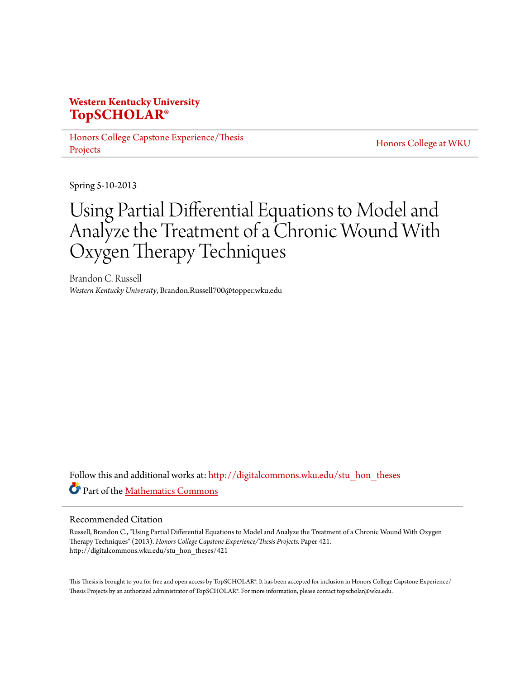## **Western Kentucky University [TopSCHOLAR®](http://digitalcommons.wku.edu?utm_source=digitalcommons.wku.edu%2Fstu_hon_theses%2F421&utm_medium=PDF&utm_campaign=PDFCoverPages)**

[Honors College Capstone Experience/Thesis](http://digitalcommons.wku.edu/stu_hon_theses?utm_source=digitalcommons.wku.edu%2Fstu_hon_theses%2F421&utm_medium=PDF&utm_campaign=PDFCoverPages) [Projects](http://digitalcommons.wku.edu/stu_hon_theses?utm_source=digitalcommons.wku.edu%2Fstu_hon_theses%2F421&utm_medium=PDF&utm_campaign=PDFCoverPages)

[Honors College at WKU](http://digitalcommons.wku.edu/honors_prog?utm_source=digitalcommons.wku.edu%2Fstu_hon_theses%2F421&utm_medium=PDF&utm_campaign=PDFCoverPages)

Spring 5-10-2013

# Using Partial Differential Equations to Model and Analyze the Treatment of a Chronic Wound With Oxygen Therapy Techniques

Brandon C. Russell *Western Kentucky University*, Brandon.Russell700@topper.wku.edu

Follow this and additional works at: [http://digitalcommons.wku.edu/stu\\_hon\\_theses](http://digitalcommons.wku.edu/stu_hon_theses?utm_source=digitalcommons.wku.edu%2Fstu_hon_theses%2F421&utm_medium=PDF&utm_campaign=PDFCoverPages) Part of the [Mathematics Commons](http://network.bepress.com/hgg/discipline/174?utm_source=digitalcommons.wku.edu%2Fstu_hon_theses%2F421&utm_medium=PDF&utm_campaign=PDFCoverPages)

#### Recommended Citation

Russell, Brandon C., "Using Partial Differential Equations to Model and Analyze the Treatment of a Chronic Wound With Oxygen Therapy Techniques" (2013). *Honors College Capstone Experience/Thesis Projects.* Paper 421. http://digitalcommons.wku.edu/stu\_hon\_theses/421

This Thesis is brought to you for free and open access by TopSCHOLAR®. It has been accepted for inclusion in Honors College Capstone Experience/ Thesis Projects by an authorized administrator of TopSCHOLAR®. For more information, please contact topscholar@wku.edu.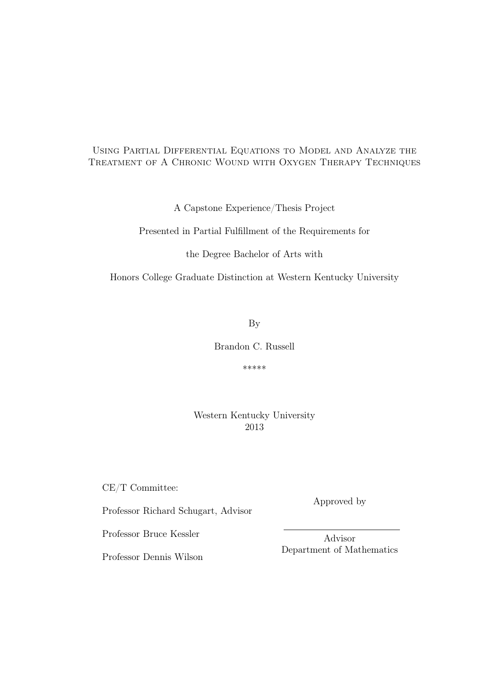#### Using Partial Differential Equations to Model and Analyze the Treatment of A Chronic Wound with Oxygen Therapy Techniques

A Capstone Experience/Thesis Project

Presented in Partial Fulfillment of the Requirements for

the Degree Bachelor of Arts with

Honors College Graduate Distinction at Western Kentucky University

By

Brandon C. Russell

\*\*\*\*\*

Western Kentucky University 2013

CE/T Committee:

Approved by

Professor Richard Schugart, Advisor

Professor Bruce Kessler

Advisor Department of Mathematics

Professor Dennis Wilson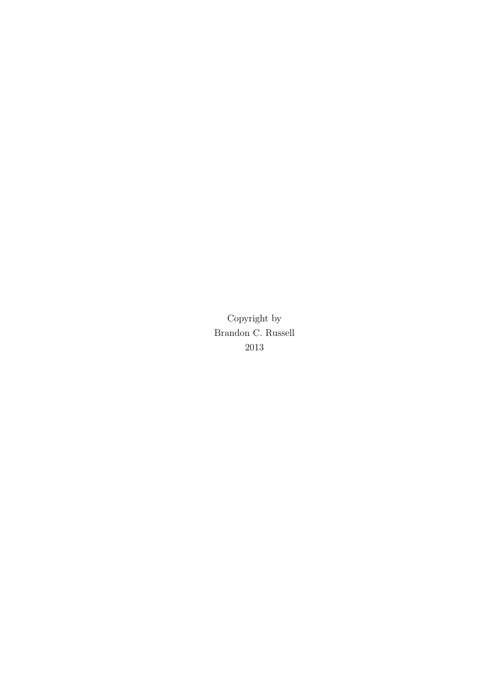Copyright by Brandon C. Russell 2013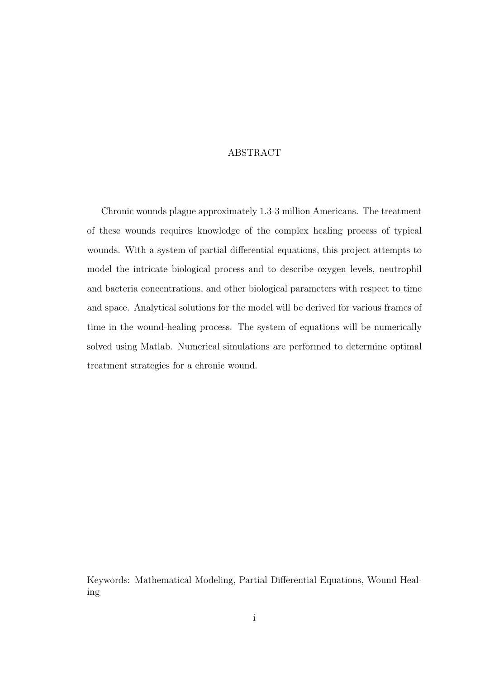#### ABSTRACT

Chronic wounds plague approximately 1.3-3 million Americans. The treatment of these wounds requires knowledge of the complex healing process of typical wounds. With a system of partial differential equations, this project attempts to model the intricate biological process and to describe oxygen levels, neutrophil and bacteria concentrations, and other biological parameters with respect to time and space. Analytical solutions for the model will be derived for various frames of time in the wound-healing process. The system of equations will be numerically solved using Matlab. Numerical simulations are performed to determine optimal treatment strategies for a chronic wound.

Keywords: Mathematical Modeling, Partial Differential Equations, Wound Healing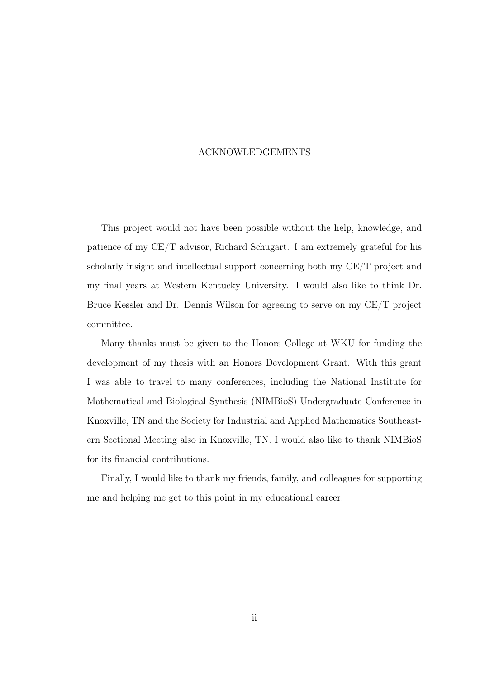#### ACKNOWLEDGEMENTS

This project would not have been possible without the help, knowledge, and patience of my CE/T advisor, Richard Schugart. I am extremely grateful for his scholarly insight and intellectual support concerning both my CE/T project and my final years at Western Kentucky University. I would also like to think Dr. Bruce Kessler and Dr. Dennis Wilson for agreeing to serve on my CE/T project committee.

Many thanks must be given to the Honors College at WKU for funding the development of my thesis with an Honors Development Grant. With this grant I was able to travel to many conferences, including the National Institute for Mathematical and Biological Synthesis (NIMBioS) Undergraduate Conference in Knoxville, TN and the Society for Industrial and Applied Mathematics Southeastern Sectional Meeting also in Knoxville, TN. I would also like to thank NIMBioS for its financial contributions.

Finally, I would like to thank my friends, family, and colleagues for supporting me and helping me get to this point in my educational career.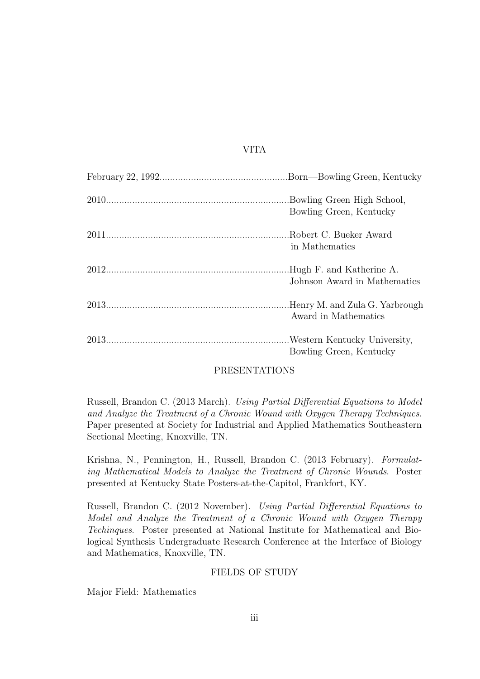#### VITA

| Bowling Green, Kentucky                                   |
|-----------------------------------------------------------|
| in Mathematics                                            |
| .Hugh F. and Katherine A.<br>Johnson Award in Mathematics |
| .Henry M. and Zula G. Yarbrough<br>Award in Mathematics   |
| Western Kentucky University,<br>Bowling Green, Kentucky   |

#### PRESENTATIONS

Russell, Brandon C. (2013 March). Using Partial Differential Equations to Model and Analyze the Treatment of a Chronic Wound with Oxygen Therapy Techniques. Paper presented at Society for Industrial and Applied Mathematics Southeastern Sectional Meeting, Knoxville, TN.

Krishna, N., Pennington, H., Russell, Brandon C. (2013 February). Formulating Mathematical Models to Analyze the Treatment of Chronic Wounds. Poster presented at Kentucky State Posters-at-the-Capitol, Frankfort, KY.

Russell, Brandon C. (2012 November). Using Partial Differential Equations to Model and Analyze the Treatment of a Chronic Wound with Oxygen Therapy Techinques. Poster presented at National Institute for Mathematical and Biological Synthesis Undergraduate Research Conference at the Interface of Biology and Mathematics, Knoxville, TN.

#### FIELDS OF STUDY

Major Field: Mathematics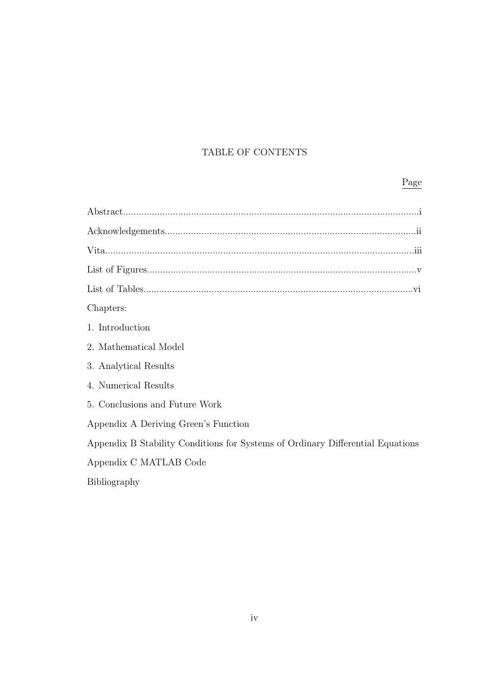## TABLE OF CONTENTS

## Page

| Chapters:                                                                      |
|--------------------------------------------------------------------------------|
| 1. Introduction                                                                |
| 2. Mathematical Model                                                          |
| 3. Analytical Results                                                          |
| 4. Numerical Results                                                           |
| 5. Conclusions and Future Work                                                 |
| Appendix A Deriving Green's Function                                           |
| Appendix B Stability Conditions for Systems of Ordinary Differential Equations |
| Appendix C MATLAB Code                                                         |
| Bibliography                                                                   |
|                                                                                |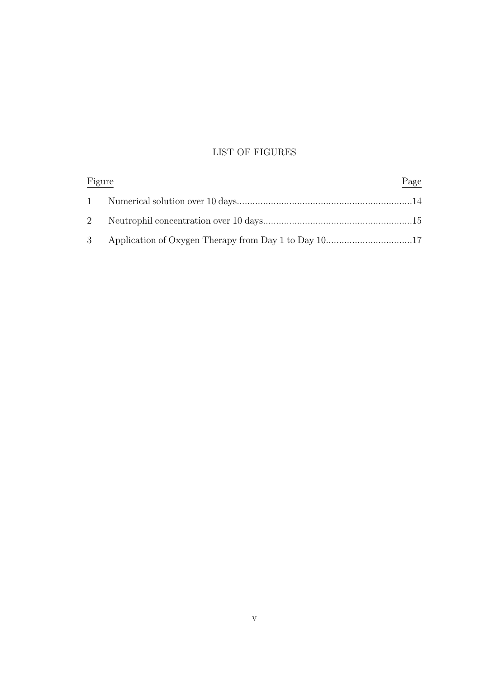## LIST OF FIGURES

| Figure | Page |
|--------|------|
|        |      |
|        |      |
|        |      |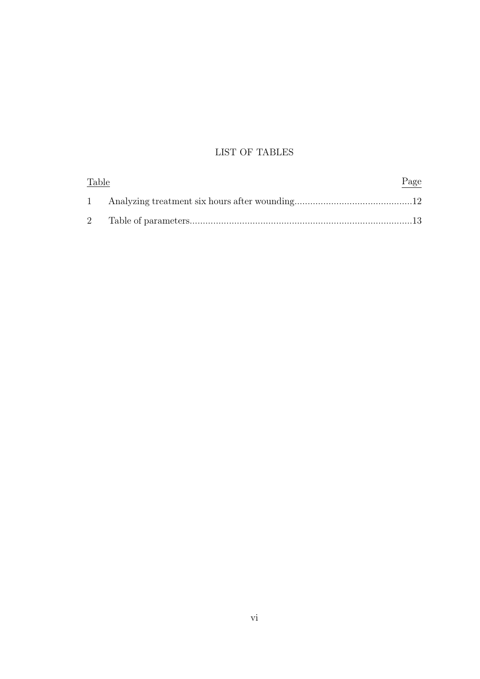### LIST OF TABLES

| <b>Table</b> | Page |
|--------------|------|
|              |      |
|              |      |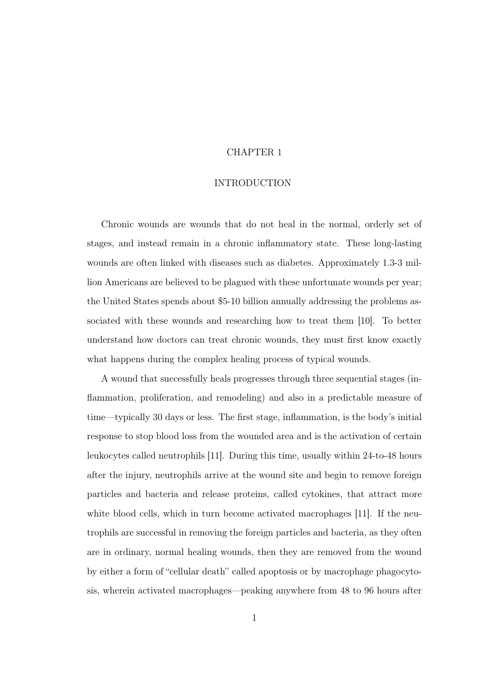#### CHAPTER 1

#### INTRODUCTION

Chronic wounds are wounds that do not heal in the normal, orderly set of stages, and instead remain in a chronic inflammatory state. These long-lasting wounds are often linked with diseases such as diabetes. Approximately 1.3-3 million Americans are believed to be plagued with these unfortunate wounds per year; the United States spends about \$5-10 billion annually addressing the problems associated with these wounds and researching how to treat them [10]. To better understand how doctors can treat chronic wounds, they must first know exactly what happens during the complex healing process of typical wounds.

A wound that successfully heals progresses through three sequential stages (inflammation, proliferation, and remodeling) and also in a predictable measure of time—typically 30 days or less. The first stage, inflammation, is the body's initial response to stop blood loss from the wounded area and is the activation of certain leukocytes called neutrophils [11]. During this time, usually within 24-to-48 hours after the injury, neutrophils arrive at the wound site and begin to remove foreign particles and bacteria and release proteins, called cytokines, that attract more white blood cells, which in turn become activated macrophages [11]. If the neutrophils are successful in removing the foreign particles and bacteria, as they often are in ordinary, normal healing wounds, then they are removed from the wound by either a form of "cellular death" called apoptosis or by macrophage phagocytosis, wherein activated macrophages—peaking anywhere from 48 to 96 hours after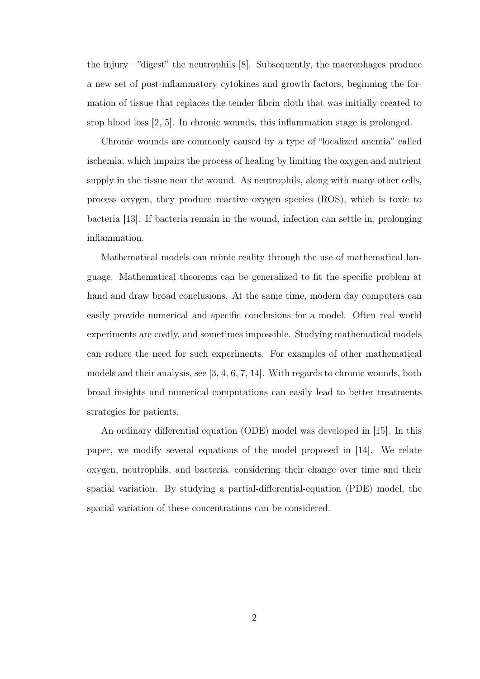the injury—"digest" the neutrophils [8]. Subsequently, the macrophages produce a new set of post-inflammatory cytokines and growth factors, beginning the formation of tissue that replaces the tender fibrin cloth that was initially created to stop blood loss [2, 5]. In chronic wounds, this inflammation stage is prolonged.

Chronic wounds are commonly caused by a type of "localized anemia" called ischemia, which impairs the process of healing by limiting the oxygen and nutrient supply in the tissue near the wound. As neutrophils, along with many other cells, process oxygen, they produce reactive oxygen species (ROS), which is toxic to bacteria [13]. If bacteria remain in the wound, infection can settle in, prolonging inflammation.

Mathematical models can mimic reality through the use of mathematical language. Mathematical theorems can be generalized to fit the specific problem at hand and draw broad conclusions. At the same time, modern day computers can easily provide numerical and specific conclusions for a model. Often real world experiments are costly, and sometimes impossible. Studying mathematical models can reduce the need for such experiments. For examples of other mathematical models and their analysis, see [3, 4, 6, 7, 14]. With regards to chronic wounds, both broad insights and numerical computations can easily lead to better treatments strategies for patients.

An ordinary differential equation (ODE) model was developed in [15]. In this paper, we modify several equations of the model proposed in [14]. We relate oxygen, neutrophils, and bacteria, considering their change over time and their spatial variation. By studying a partial-differential-equation (PDE) model, the spatial variation of these concentrations can be considered.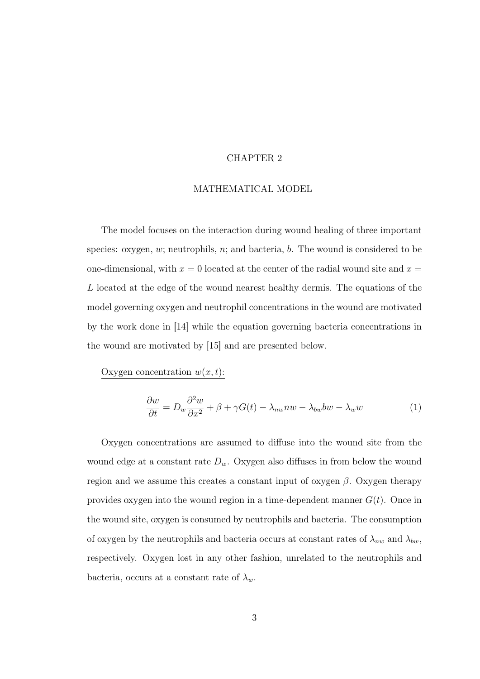#### CHAPTER 2

#### MATHEMATICAL MODEL

The model focuses on the interaction during wound healing of three important species: oxygen,  $w$ ; neutrophils,  $n$ ; and bacteria,  $b$ . The wound is considered to be one-dimensional, with  $x = 0$  located at the center of the radial wound site and  $x =$ L located at the edge of the wound nearest healthy dermis. The equations of the model governing oxygen and neutrophil concentrations in the wound are motivated by the work done in [14] while the equation governing bacteria concentrations in the wound are motivated by [15] and are presented below.

Oxygen concentration  $w(x, t)$ :

$$
\frac{\partial w}{\partial t} = D_w \frac{\partial^2 w}{\partial x^2} + \beta + \gamma G(t) - \lambda_{nw} n w - \lambda_{bw} b w - \lambda_w w \tag{1}
$$

Oxygen concentrations are assumed to diffuse into the wound site from the wound edge at a constant rate  $D_w$ . Oxygen also diffuses in from below the wound region and we assume this creates a constant input of oxygen  $\beta$ . Oxygen therapy provides oxygen into the wound region in a time-dependent manner  $G(t)$ . Once in the wound site, oxygen is consumed by neutrophils and bacteria. The consumption of oxygen by the neutrophils and bacteria occurs at constant rates of  $\lambda_{nw}$  and  $\lambda_{bw}$ , respectively. Oxygen lost in any other fashion, unrelated to the neutrophils and bacteria, occurs at a constant rate of  $\lambda_w$ .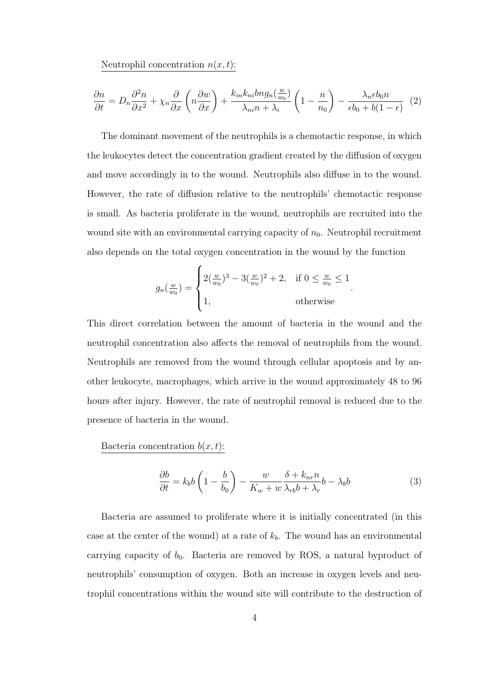Neutrophil concentration  $n(x, t)$ :

$$
\frac{\partial n}{\partial t} = D_n \frac{\partial^2 n}{\partial x^2} + \chi_n \frac{\partial}{\partial x} \left( n \frac{\partial w}{\partial x} \right) + \frac{k_{in} k_{ni} b n g_n(\frac{w}{w_0})}{\lambda_{ni} n + \lambda_i} \left( 1 - \frac{n}{n_0} \right) - \frac{\lambda_n \epsilon b_0 n}{\epsilon b_0 + b(1 - \epsilon)} \tag{2}
$$

The dominant movement of the neutrophils is a chemotactic response, in which the leukocytes detect the concentration gradient created by the diffusion of oxygen and move accordingly in to the wound. Neutrophils also diffuse in to the wound. However, the rate of diffusion relative to the neutrophils' chemotactic response is small. As bacteria proliferate in the wound, neutrophils are recruited into the wound site with an environmental carrying capacity of  $n_0$ . Neutrophil recruitment also depends on the total oxygen concentration in the wound by the function

$$
g_n(\frac{w}{w_0}) = \begin{cases} 2(\frac{w}{w_0})^3 - 3(\frac{w}{w_0})^2 + 2, & \text{if } 0 \le \frac{w}{w_0} \le 1 \\ 1, & \text{otherwise} \end{cases}.
$$

This direct correlation between the amount of bacteria in the wound and the neutrophil concentration also affects the removal of neutrophils from the wound. Neutrophils are removed from the wound through cellular apoptosis and by another leukocyte, macrophages, which arrive in the wound approximately 48 to 96 hours after injury. However, the rate of neutrophil removal is reduced due to the presence of bacteria in the wound.

Bacteria concentration  $b(x, t)$ :

$$
\frac{\partial b}{\partial t} = k_b b \left( 1 - \frac{b}{b_0} \right) - \frac{w}{K_w + w} \frac{\delta + k_{nr} n}{\lambda_{rb} b + \lambda_r} b - \lambda_b b \tag{3}
$$

Bacteria are assumed to proliferate where it is initially concentrated (in this case at the center of the wound) at a rate of  $k_b$ . The wound has an environmental carrying capacity of  $b_0$ . Bacteria are removed by ROS, a natural byproduct of neutrophils' consumption of oxygen. Both an increase in oxygen levels and neutrophil concentrations within the wound site will contribute to the destruction of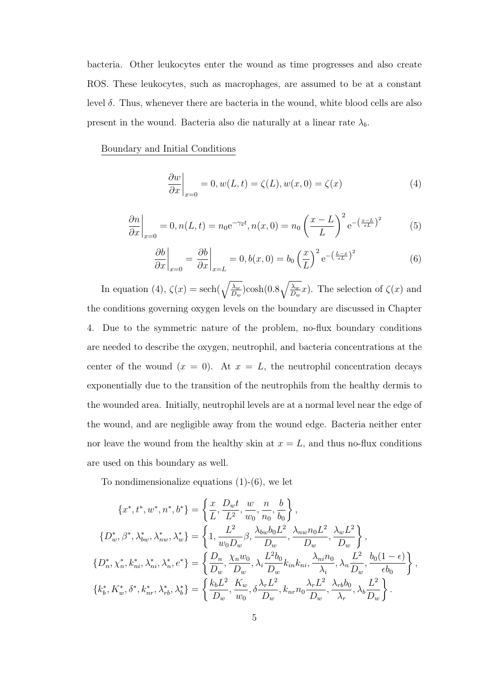bacteria. Other leukocytes enter the wound as time progresses and also create ROS. These leukocytes, such as macrophages, are assumed to be at a constant level δ. Thus, whenever there are bacteria in the wound, white blood cells are also present in the wound. Bacteria also die naturally at a linear rate  $\lambda_b$ .

Boundary and Initial Conditions

$$
\left. \frac{\partial w}{\partial x} \right|_{x=0} = 0, w(L, t) = \zeta(L), w(x, 0) = \zeta(x) \tag{4}
$$

$$
\left. \frac{\partial n}{\partial x} \right|_{x=0} = 0, n(L, t) = n_0 e^{-\gamma_2 t}, n(x, 0) = n_0 \left( \frac{x - L}{L} \right)^2 e^{-\left( \frac{x - L}{\epsilon L} \right)^2}
$$
(5)

$$
\left. \frac{\partial b}{\partial x} \right|_{x=0} = \left. \frac{\partial b}{\partial x} \right|_{x=L} = 0, b(x,0) = b_0 \left( \frac{x}{L} \right)^2 e^{-\left( \frac{L-x}{\epsilon L} \right)^2}
$$
(6)

In equation (4),  $\zeta(x) = \operatorname{sech}(\sqrt{\frac{\lambda_w}{D}})$  $\overline{\frac{\lambda_w}{D_w}}) \rm{cosh} (0.8 \sqrt{\frac{\lambda_w}{D_u}})$  $\frac{\lambda_w}{D_w}x$ ). The selection of  $\zeta(x)$  and the conditions governing oxygen levels on the boundary are discussed in Chapter 4. Due to the symmetric nature of the problem, no-flux boundary conditions are needed to describe the oxygen, neutrophil, and bacteria concentrations at the center of the wound  $(x = 0)$ . At  $x = L$ , the neutrophil concentration decays exponentially due to the transition of the neutrophils from the healthy dermis to the wounded area. Initially, neutrophil levels are at a normal level near the edge of the wound, and are negligible away from the wound edge. Bacteria neither enter nor leave the wound from the healthy skin at  $x = L$ , and thus no-flux conditions are used on this boundary as well.

To nondimensionalize equations  $(1)-(6)$ , we let

$$
\{x^*, t^*, w^*, n^*, b^*\} = \left\{ \frac{x}{L}, \frac{D_w t}{L^2}, \frac{w}{w_0}, \frac{n}{n_0}, \frac{b}{b_0} \right\},
$$
  
\n
$$
\{D_w^*, \beta^*, \lambda_{bw}^*, \lambda_{nw}^*, \lambda_w^* \} = \left\{ 1, \frac{L^2}{w_0 D_w} \beta, \frac{\lambda_{bw} b_0 L^2}{D_w}, \frac{\lambda_{nw} n_0 L^2}{D_w}, \frac{\lambda_w L^2}{D_w} \right\},
$$
  
\n
$$
\{D_n^*, \chi_n^*, k_{ni}^*, \lambda_{ni}^*, \lambda_n^*, e^* \} = \left\{ \frac{D_n}{D_w}, \frac{\chi_n w_0}{D_w}, \lambda_i \frac{L^2 b_0}{D_w} k_{in} k_{ni}, \frac{\lambda_{ni} n_0}{\lambda_i}, \lambda_n \frac{L^2}{D_w}, \frac{b_0 (1 - \epsilon)}{\epsilon b_0} \right\},
$$
  
\n
$$
\{k_b^*, K_w^*, \delta^*, k_{nr}^*, \lambda_{rb}^*, \lambda_b^* \} = \left\{ \frac{k_b L^2}{D_w}, \frac{K_w}{w_0}, \delta \frac{\lambda_r L^2}{D_w}, k_{nr} n_0 \frac{\lambda_r L^2}{D_w}, \frac{\lambda_{rb} b_0}{\lambda_r}, \lambda_b \frac{L^2}{D_w} \right\}.
$$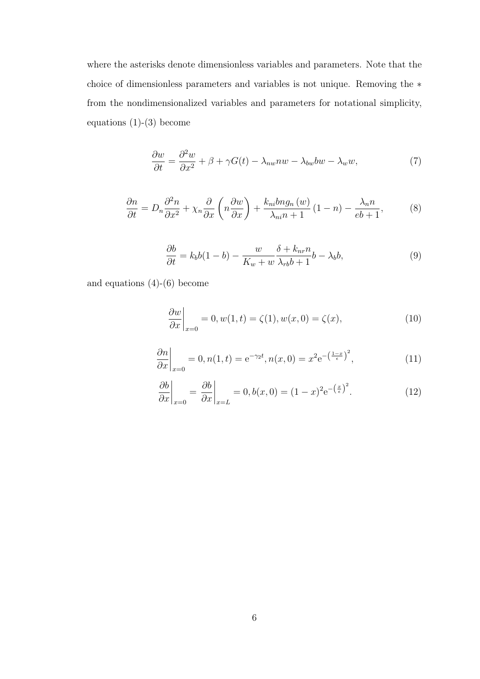where the asterisks denote dimensionless variables and parameters. Note that the choice of dimensionless parameters and variables is not unique. Removing the ∗ from the nondimensionalized variables and parameters for notational simplicity, equations  $(1)-(3)$  become

$$
\frac{\partial w}{\partial t} = \frac{\partial^2 w}{\partial x^2} + \beta + \gamma G(t) - \lambda_{nw} n w - \lambda_{bw} b w - \lambda_w w,\tag{7}
$$

$$
\frac{\partial n}{\partial t} = D_n \frac{\partial^2 n}{\partial x^2} + \chi_n \frac{\partial}{\partial x} \left( n \frac{\partial w}{\partial x} \right) + \frac{k_{ni} b n g_n \left( w \right)}{\lambda_{ni} n + 1} \left( 1 - n \right) - \frac{\lambda_n n}{e b + 1},\tag{8}
$$

$$
\frac{\partial b}{\partial t} = k_b b (1 - b) - \frac{w}{K_w + w} \frac{\delta + k_{nr} n}{\lambda_{rb} b + 1} b - \lambda_b b,\tag{9}
$$

and equations  $(4)-(6)$  become

$$
\left. \frac{\partial w}{\partial x} \right|_{x=0} = 0, w(1, t) = \zeta(1), w(x, 0) = \zeta(x), \tag{10}
$$

$$
\left. \frac{\partial n}{\partial x} \right|_{x=0} = 0, n(1, t) = e^{-\gamma_2 t}, n(x, 0) = x^2 e^{-\left(\frac{1-x}{\epsilon}\right)^2}, \tag{11}
$$

$$
\left. \frac{\partial b}{\partial x} \right|_{x=0} = \left. \frac{\partial b}{\partial x} \right|_{x=L} = 0, b(x,0) = (1-x)^2 e^{-\left(\frac{x}{\epsilon}\right)^2}.
$$
 (12)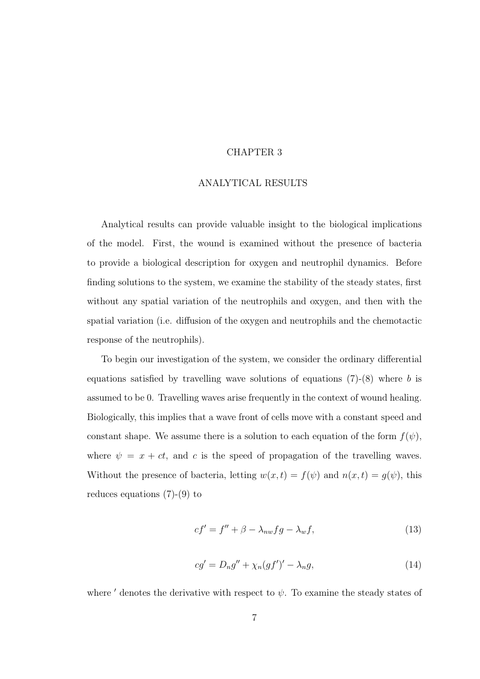#### CHAPTER 3

#### ANALYTICAL RESULTS

Analytical results can provide valuable insight to the biological implications of the model. First, the wound is examined without the presence of bacteria to provide a biological description for oxygen and neutrophil dynamics. Before finding solutions to the system, we examine the stability of the steady states, first without any spatial variation of the neutrophils and oxygen, and then with the spatial variation (i.e. diffusion of the oxygen and neutrophils and the chemotactic response of the neutrophils).

To begin our investigation of the system, we consider the ordinary differential equations satisfied by travelling wave solutions of equations  $(7)-(8)$  where b is assumed to be 0. Travelling waves arise frequently in the context of wound healing. Biologically, this implies that a wave front of cells move with a constant speed and constant shape. We assume there is a solution to each equation of the form  $f(\psi)$ , where  $\psi = x + ct$ , and c is the speed of propagation of the travelling waves. Without the presence of bacteria, letting  $w(x, t) = f(\psi)$  and  $n(x, t) = g(\psi)$ , this reduces equations (7)-(9) to

$$
cf' = f'' + \beta - \lambda_{nw} fg - \lambda_{w} f, \qquad (13)
$$

$$
cg' = D_n g'' + \chi_n(gf')' - \lambda_n g,\tag{14}
$$

where  $\prime$  denotes the derivative with respect to  $\psi$ . To examine the steady states of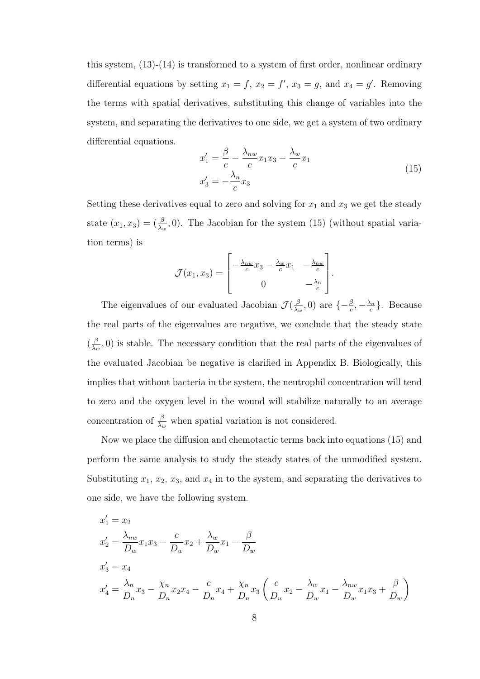this system, (13)-(14) is transformed to a system of first order, nonlinear ordinary differential equations by setting  $x_1 = f$ ,  $x_2 = f'$ ,  $x_3 = g$ , and  $x_4 = g'$ . Removing the terms with spatial derivatives, substituting this change of variables into the system, and separating the derivatives to one side, we get a system of two ordinary differential equations.

$$
x_1' = \frac{\beta}{c} - \frac{\lambda_{nw}}{c} x_1 x_3 - \frac{\lambda_w}{c} x_1
$$
  

$$
x_3' = -\frac{\lambda_n}{c} x_3
$$
 (15)

Setting these derivatives equal to zero and solving for  $x_1$  and  $x_3$  we get the steady state  $(x_1, x_3) = (\frac{\beta}{\lambda_w}, 0)$ . The Jacobian for the system (15) (without spatial variation terms) is

$$
\mathcal{J}(x_1, x_3) = \begin{bmatrix} -\frac{\lambda_{nw}}{c}x_3 - \frac{\lambda_{w}}{c}x_1 & -\frac{\lambda_{nw}}{c} \\ 0 & -\frac{\lambda_{n}}{c} \end{bmatrix}.
$$

The eigenvalues of our evaluated Jacobian  $\mathcal{J}(\frac{\beta}{\lambda})$  $\frac{\beta}{\lambda_w}, 0)$  are  $\{-\frac{\beta}{c}, -\frac{\lambda_n}{c}$  $\frac{\lambda_n}{c}$ . Because the real parts of the eigenvalues are negative, we conclude that the steady state  $\left(\frac{\beta}{\lambda}\right)$  $\frac{\beta}{\lambda_w}$ , 0) is stable. The necessary condition that the real parts of the eigenvalues of the evaluated Jacobian be negative is clarified in Appendix B. Biologically, this implies that without bacteria in the system, the neutrophil concentration will tend to zero and the oxygen level in the wound will stabilize naturally to an average concentration of  $\frac{\beta}{\lambda_w}$  when spatial variation is not considered.

Now we place the diffusion and chemotactic terms back into equations (15) and perform the same analysis to study the steady states of the unmodified system. Substituting  $x_1, x_2, x_3$ , and  $x_4$  in to the system, and separating the derivatives to one side, we have the following system.

$$
x'_{1} = x_{2}
$$
  
\n
$$
x'_{2} = \frac{\lambda_{nw}}{D_{w}} x_{1} x_{3} - \frac{c}{D_{w}} x_{2} + \frac{\lambda_{w}}{D_{w}} x_{1} - \frac{\beta}{D_{w}}
$$
  
\n
$$
x'_{3} = x_{4}
$$
  
\n
$$
x'_{4} = \frac{\lambda_{n}}{D_{n}} x_{3} - \frac{\chi_{n}}{D_{n}} x_{2} x_{4} - \frac{c}{D_{n}} x_{4} + \frac{\chi_{n}}{D_{n}} x_{3} \left( \frac{c}{D_{w}} x_{2} - \frac{\lambda_{w}}{D_{w}} x_{1} - \frac{\lambda_{nw}}{D_{w}} x_{1} x_{3} + \frac{\beta}{D_{w}} \right)
$$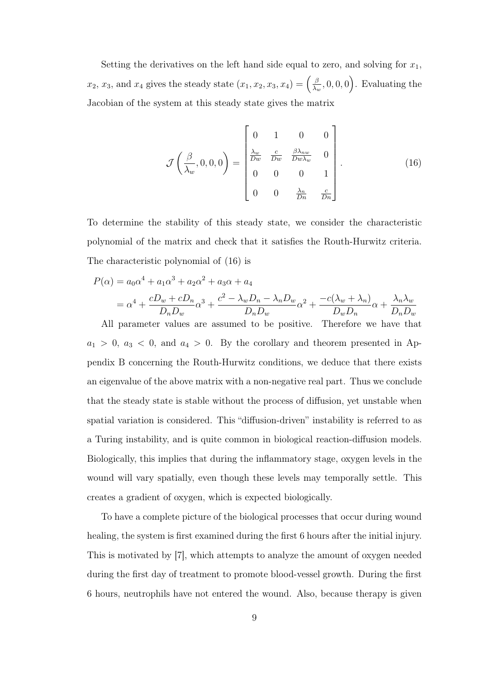Setting the derivatives on the left hand side equal to zero, and solving for  $x_1$ ,  $x_2, x_3$ , and  $x_4$  gives the steady state  $(x_1, x_2, x_3, x_4) = \left(\frac{\beta}{\lambda_1}\right)^2$  $\left(\frac{\beta}{\lambda_w}, 0, 0, 0\right)$ . Evaluating the Jacobian of the system at this steady state gives the matrix

$$
\mathcal{J}\left(\frac{\beta}{\lambda_w}, 0, 0, 0\right) = \begin{bmatrix} 0 & 1 & 0 & 0 \\ \frac{\lambda_w}{Dw} & \frac{c}{Dw} & \frac{\beta \lambda_{nw}}{Dw\lambda_w} & 0 \\ 0 & 0 & 0 & 1 \\ 0 & 0 & \frac{\lambda_n}{Dn} & \frac{c}{Dn} \end{bmatrix}.
$$
 (16)

To determine the stability of this steady state, we consider the characteristic polynomial of the matrix and check that it satisfies the Routh-Hurwitz criteria. The characteristic polynomial of (16) is

$$
P(\alpha) = a_0 \alpha^4 + a_1 \alpha^3 + a_2 \alpha^2 + a_3 \alpha + a_4
$$
  
=  $\alpha^4 + \frac{cD_w + cD_n}{D_n D_w} \alpha^3 + \frac{c^2 - \lambda_w D_n - \lambda_n D_w}{D_n D_w} \alpha^2 + \frac{-c(\lambda_w + \lambda_n)}{D_w D_n} \alpha + \frac{\lambda_n \lambda_w}{D_n D_w}$ 

All parameter values are assumed to be positive. Therefore we have that  $a_1 > 0$ ,  $a_3 < 0$ , and  $a_4 > 0$ . By the corollary and theorem presented in Appendix B concerning the Routh-Hurwitz conditions, we deduce that there exists an eigenvalue of the above matrix with a non-negative real part. Thus we conclude that the steady state is stable without the process of diffusion, yet unstable when spatial variation is considered. This "diffusion-driven" instability is referred to as a Turing instability, and is quite common in biological reaction-diffusion models. Biologically, this implies that during the inflammatory stage, oxygen levels in the wound will vary spatially, even though these levels may temporally settle. This creates a gradient of oxygen, which is expected biologically.

To have a complete picture of the biological processes that occur during wound healing, the system is first examined during the first 6 hours after the initial injury. This is motivated by [7], which attempts to analyze the amount of oxygen needed during the first day of treatment to promote blood-vessel growth. During the first 6 hours, neutrophils have not entered the wound. Also, because therapy is given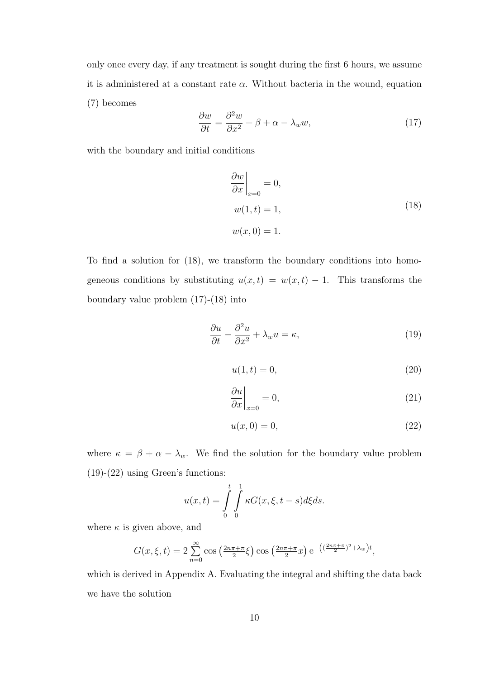only once every day, if any treatment is sought during the first 6 hours, we assume it is administered at a constant rate  $\alpha$ . Without bacteria in the wound, equation (7) becomes

$$
\frac{\partial w}{\partial t} = \frac{\partial^2 w}{\partial x^2} + \beta + \alpha - \lambda_w w,\tag{17}
$$

with the boundary and initial conditions

$$
\frac{\partial w}{\partial x}\Big|_{x=0} = 0,
$$
  
\n
$$
w(1,t) = 1,
$$
  
\n
$$
w(x,0) = 1.
$$
\n(18)

To find a solution for (18), we transform the boundary conditions into homogeneous conditions by substituting  $u(x,t) = w(x,t) - 1$ . This transforms the boundary value problem (17)-(18) into

$$
\frac{\partial u}{\partial t} - \frac{\partial^2 u}{\partial x^2} + \lambda_w u = \kappa,\tag{19}
$$

$$
u(1,t) = 0,\t\t(20)
$$

$$
\left. \frac{\partial u}{\partial x} \right|_{x=0} = 0,\tag{21}
$$

$$
u(x,0) = 0,\t(22)
$$

where  $\kappa = \beta + \alpha - \lambda_w$ . We find the solution for the boundary value problem (19)-(22) using Green's functions:

$$
u(x,t) = \int\limits_0^t \int\limits_0^1 \kappa G(x,\xi,t-s)d\xi ds.
$$

where  $\kappa$  is given above, and

$$
G(x,\xi,t) = 2\sum_{n=0}^{\infty} \cos\left(\frac{2n\pi + \pi}{2}\xi\right) \cos\left(\frac{2n\pi + \pi}{2}x\right) e^{-\left((\frac{2n\pi + \pi}{2})^2 + \lambda_w\right)t},
$$

which is derived in Appendix A. Evaluating the integral and shifting the data back we have the solution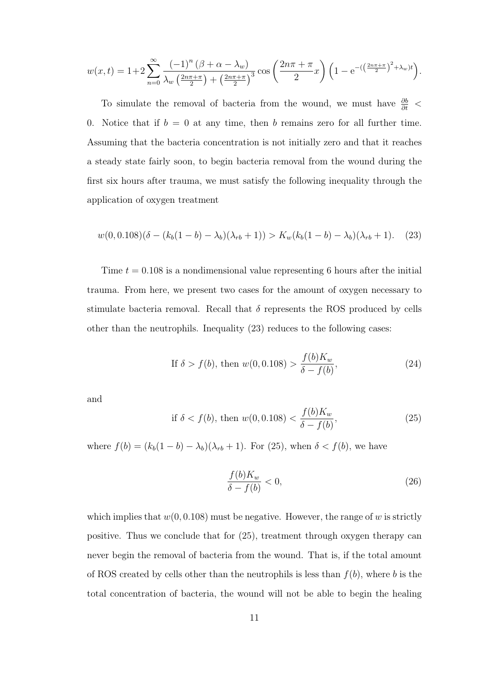$$
w(x,t) = 1 + 2\sum_{n=0}^{\infty} \frac{(-1)^n (\beta + \alpha - \lambda_w)}{\lambda_w \left(\frac{2n\pi + \pi}{2}\right) + \left(\frac{2n\pi + \pi}{2}\right)^3} \cos\left(\frac{2n\pi + \pi}{2}x\right) \left(1 - e^{-\left(\left(\frac{2n\pi + \pi}{2}\right)^2 + \lambda_w\right)t}\right).
$$

To simulate the removal of bacteria from the wound, we must have  $\frac{\partial b}{\partial t}$  < 0. Notice that if  $b = 0$  at any time, then b remains zero for all further time. Assuming that the bacteria concentration is not initially zero and that it reaches a steady state fairly soon, to begin bacteria removal from the wound during the first six hours after trauma, we must satisfy the following inequality through the application of oxygen treatment

$$
w(0,0.108)(\delta - (k_b(1-b) - \lambda_b)(\lambda_{rb} + 1)) > K_w(k_b(1-b) - \lambda_b)(\lambda_{rb} + 1).
$$
 (23)

Time  $t = 0.108$  is a nondimensional value representing 6 hours after the initial trauma. From here, we present two cases for the amount of oxygen necessary to stimulate bacteria removal. Recall that  $\delta$  represents the ROS produced by cells other than the neutrophils. Inequality (23) reduces to the following cases:

If 
$$
\delta > f(b)
$$
, then  $w(0, 0.108) > \frac{f(b)K_w}{\delta - f(b)}$ , (24)

and

if 
$$
\delta < f(b)
$$
, then  $w(0, 0.108) < \frac{f(b)K_w}{\delta - f(b)}$ , (25)

where  $f(b) = (k_b(1 - b) - \lambda_b)(\lambda_{rb} + 1)$ . For (25), when  $\delta < f(b)$ , we have

$$
\frac{f(b)K_w}{\delta - f(b)} < 0,\tag{26}
$$

which implies that  $w(0, 0.108)$  must be negative. However, the range of w is strictly positive. Thus we conclude that for (25), treatment through oxygen therapy can never begin the removal of bacteria from the wound. That is, if the total amount of ROS created by cells other than the neutrophils is less than  $f(b)$ , where b is the total concentration of bacteria, the wound will not be able to begin the healing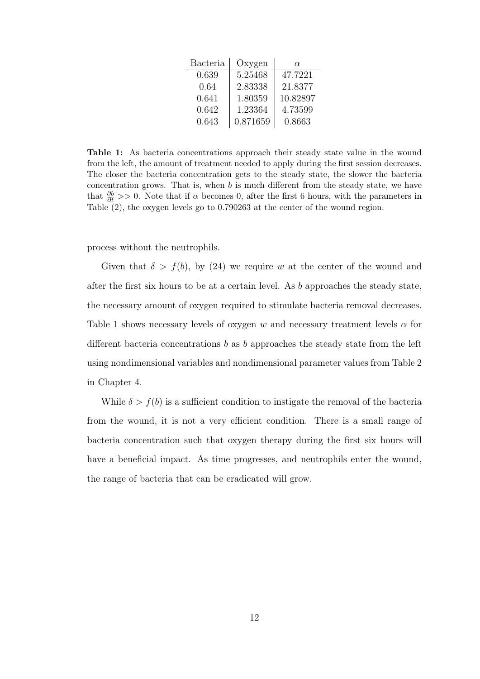| Bacteria | Oxygen   | $\alpha$ |
|----------|----------|----------|
| 0.639    | 5.25468  | 47.7221  |
| 0.64     | 2.83338  | 21.8377  |
| 0.641    | 1.80359  | 10.82897 |
| 0.642    | 1.23364  | 4.73599  |
| 0.643    | 0.871659 | 0.8663   |

Table 1: As bacteria concentrations approach their steady state value in the wound from the left, the amount of treatment needed to apply during the first session decreases. The closer the bacteria concentration gets to the steady state, the slower the bacteria concentration grows. That is, when  $b$  is much different from the steady state, we have that  $\frac{\partial b}{\partial t}$  >> 0. Note that if  $\alpha$  becomes 0, after the first 6 hours, with the parameters in Table (2), the oxygen levels go to 0.790263 at the center of the wound region.

process without the neutrophils.

Given that  $\delta > f(b)$ , by (24) we require w at the center of the wound and after the first six hours to be at a certain level. As b approaches the steady state, the necessary amount of oxygen required to stimulate bacteria removal decreases. Table 1 shows necessary levels of oxygen w and necessary treatment levels  $\alpha$  for different bacteria concentrations b as b approaches the steady state from the left using nondimensional variables and nondimensional parameter values from Table 2 in Chapter 4.

While  $\delta > f(b)$  is a sufficient condition to instigate the removal of the bacteria from the wound, it is not a very efficient condition. There is a small range of bacteria concentration such that oxygen therapy during the first six hours will have a beneficial impact. As time progresses, and neutrophils enter the wound, the range of bacteria that can be eradicated will grow.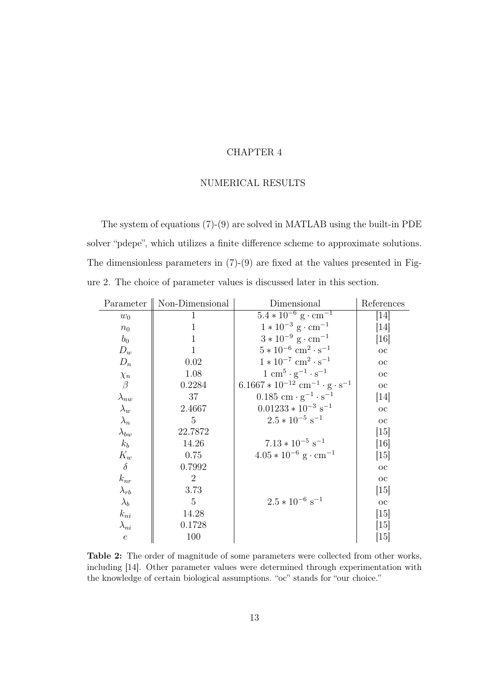#### CHAPTER 4

#### NUMERICAL RESULTS

The system of equations (7)-(9) are solved in MATLAB using the built-in PDE solver "pdepe", which utilizes a finite difference scheme to approximate solutions. The dimensionless parameters in (7)-(9) are fixed at the values presented in Figure 2. The choice of parameter values is discussed later in this section.

| Parameter        | Non-Dimensional | Dimensional                                                | References        |
|------------------|-----------------|------------------------------------------------------------|-------------------|
| $w_0$            | 1               | $5.4 * 10^{-6}$ g · cm <sup>-1</sup>                       | $[14]$            |
| $n_0$            | $\mathbf 1$     | $1 * 10^{-3}$ g · cm <sup>-1</sup>                         | 14                |
| $b_0$            | $\mathbf{1}$    | $3*10^{-9}$ g · cm <sup>-1</sup>                           | [16]              |
| $D_w$            | $\mathbf{1}$    | $5 * 10^{-6}$ cm <sup>2</sup> · s <sup>-1</sup>            | $_{\rm oc}$       |
| $D_n$            | 0.02            | $1 * 10^{-7}$ cm <sup>2</sup> · s <sup>-1</sup>            | $_{\rm OC}$       |
| $\chi_n$         | 1.08            | $1 \text{ cm}^5 \cdot \text{g}^{-1} \cdot \text{s}^{-1}$   | $_{\rm oc}$       |
| $\beta$          | 0.2284          | $6.1667 * 10^{-12}$ cm <sup>-1</sup> · g · s <sup>-1</sup> | $_{\rm OC}$       |
| $\lambda_{nw}$   | 37              | $0.185$ cm $\cdot$ g <sup>-1</sup> $\cdot$ s <sup>-1</sup> | [14]              |
| $\lambda_w$      | 2.4667          | $0.01233 * 10^{-3}$ s <sup>-1</sup>                        | $_{\rm OC}$       |
| $\lambda_n$      | 5               | $2.5 * 10^{-5}$ s <sup>-1</sup>                            | $_{\rm OC}$       |
| $\lambda_{bw}$   | 22.7872         |                                                            | [15]              |
| $k_b$            | 14.26           | $7.13 * 10^{-5}$ s <sup>-1</sup>                           | [16]              |
| $K_w$            | 0.75            | $4.05 * 10^{-6}$ g · cm <sup>-1</sup>                      | $\left[15\right]$ |
| $\delta$         | 0.7992          |                                                            | $_{\rm OC}$       |
| $k_{nr}$         | $\overline{2}$  |                                                            | $_{\rm OC}$       |
| $\lambda_{rb}$   | 3.73            |                                                            | [15]              |
| $\lambda_b$      | $\overline{5}$  | $2.5 * 10^{-6}$ s <sup>-1</sup>                            | $_{\rm oc}$       |
| $k_{ni}$         | 14.28           |                                                            | [15]              |
| $\lambda_{ni}$   | 0.1728          |                                                            | [15]              |
| $\boldsymbol{e}$ | 100             |                                                            | 15                |

Table 2: The order of magnitude of some parameters were collected from other works, including [14]. Other parameter values were determined through experimentation with the knowledge of certain biological assumptions. "oc" stands for "our choice."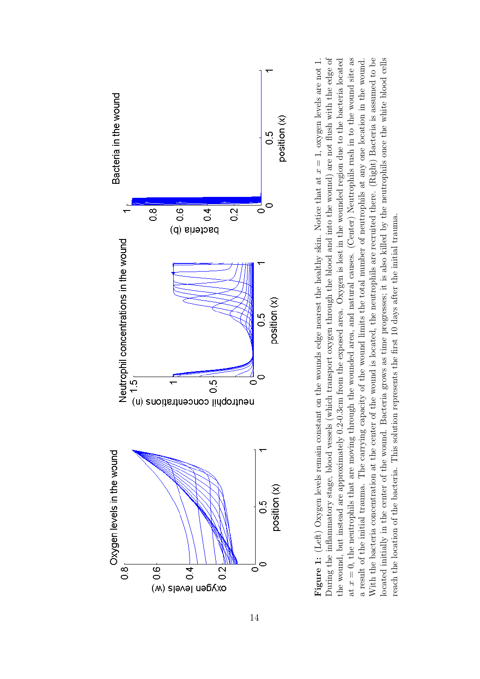

at  $x = 0$ , the neutrophils that are moving through the wounded area, and natural causes. (Center) Neutrophils rush in to the wound site as With the bacteria concentration at the center of the wound is located, the neutrophils are recruited there. (Right) Bacteria is assumed to be ocated initially in the center of the wound. Bacteria grows as time progresses; it is also killed by the neutrophils once the white blood cells Figure 1: (Left) Oxygen levels remain constant on the wounds edge nearest the healthy skin. Notice that at  $x = 1$ , oxygen levels are not 1. During the inflammatory stage, blood vessels (which transport oxygen through the blood and into the wound) are not flush with the edge of the wound, but instead are approximately 0.2-0.3cm from the exposed area. Oxygen is lost in the wounded region due to the bacteria located **Figure 1:** (Left) Oxygen levels remain constant on the wounds edge nearest the healthy skin. Notice that at  $x = 1$ , oxygen levels are not 1. During the inflammatory stage, blood vessels (which transport oxygen through the blood and into the wound) are not flush with the edge of the wound, but instead are approximately 0.2-0.3cm from the exposed area. Oxygen is lost in the wounded region due to the bacteria located at  $x = 0$ , the neutrophils that are moving through the wounded area, and natural causes. (Center) Neutrophils rush in to the wound site as a result of the initial trauma. The carrying capacity of the wound limits the total number of neutrophils at any one location in the wound. With the bacteria concentration at the center of the wound is located, the neutrophils are recruited there. (Right) Bacteria is assumed to be located initially in the center of the wound. Bacteria grows as time progresses; it is also killed by the neutrophils once the white blood cells a result of the initial trauma. The carrying capacity of the wound limits the total number of neutrophils at any one location in the wound. reach the location of the bacteria. This solution represents the first 10 days after the initial trauma. reach the location of the bacteria. This solution represents the first 10 days after the initial trauma.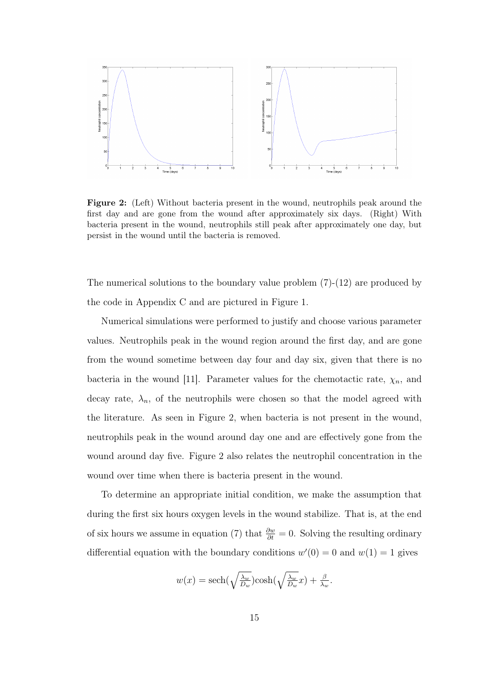

Figure 2: (Left) Without bacteria present in the wound, neutrophils peak around the first day and are gone from the wound after approximately six days. (Right) With bacteria present in the wound, neutrophils still peak after approximately one day, but persist in the wound until the bacteria is removed.

The numerical solutions to the boundary value problem (7)-(12) are produced by the code in Appendix C and are pictured in Figure 1.

Numerical simulations were performed to justify and choose various parameter values. Neutrophils peak in the wound region around the first day, and are gone from the wound sometime between day four and day six, given that there is no bacteria in the wound [11]. Parameter values for the chemotactic rate,  $\chi_n$ , and decay rate,  $\lambda_n$ , of the neutrophils were chosen so that the model agreed with the literature. As seen in Figure 2, when bacteria is not present in the wound, neutrophils peak in the wound around day one and are effectively gone from the wound around day five. Figure 2 also relates the neutrophil concentration in the wound over time when there is bacteria present in the wound.

To determine an appropriate initial condition, we make the assumption that during the first six hours oxygen levels in the wound stabilize. That is, at the end of six hours we assume in equation (7) that  $\frac{\partial w}{\partial t} = 0$ . Solving the resulting ordinary differential equation with the boundary conditions  $w'(0) = 0$  and  $w(1) = 1$  gives

$$
w(x) = \operatorname{sech}(\sqrt{\frac{\lambda_w}{D_w}})\cosh(\sqrt{\frac{\lambda_w}{D_w}}x) + \frac{\beta}{\lambda_w}.
$$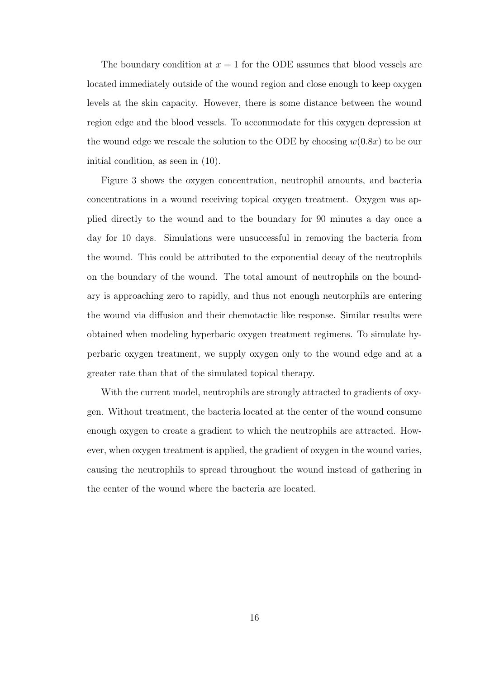The boundary condition at  $x = 1$  for the ODE assumes that blood vessels are located immediately outside of the wound region and close enough to keep oxygen levels at the skin capacity. However, there is some distance between the wound region edge and the blood vessels. To accommodate for this oxygen depression at the wound edge we rescale the solution to the ODE by choosing  $w(0.8x)$  to be our initial condition, as seen in (10).

Figure 3 shows the oxygen concentration, neutrophil amounts, and bacteria concentrations in a wound receiving topical oxygen treatment. Oxygen was applied directly to the wound and to the boundary for 90 minutes a day once a day for 10 days. Simulations were unsuccessful in removing the bacteria from the wound. This could be attributed to the exponential decay of the neutrophils on the boundary of the wound. The total amount of neutrophils on the boundary is approaching zero to rapidly, and thus not enough neutorphils are entering the wound via diffusion and their chemotactic like response. Similar results were obtained when modeling hyperbaric oxygen treatment regimens. To simulate hyperbaric oxygen treatment, we supply oxygen only to the wound edge and at a greater rate than that of the simulated topical therapy.

With the current model, neutrophils are strongly attracted to gradients of oxygen. Without treatment, the bacteria located at the center of the wound consume enough oxygen to create a gradient to which the neutrophils are attracted. However, when oxygen treatment is applied, the gradient of oxygen in the wound varies, causing the neutrophils to spread throughout the wound instead of gathering in the center of the wound where the bacteria are located.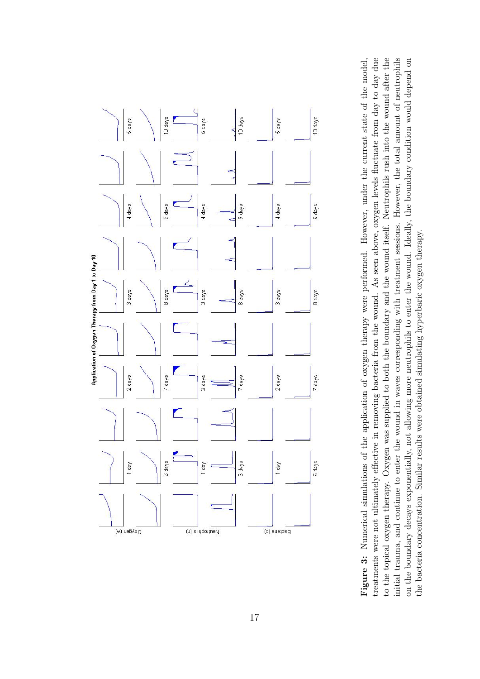

treatments were not ultimately effective in removing bacteria from the wound. As seen above, oxygen levels fluctuate from day to day due to the topical oxygen therapy. Oxygen was supplied to both the boundary and the wound itself. Neutrophils rush into the wound after the initial trauma, and continue to enter the wound in waves corresponding with treatment sessions. However, the total amount of neutrophils on the boundary decays exponentially, not allowing more neutrophils to enter the wound. Ideally, the boundary condition would depend on Figure 3: Numerical simulations of the application of oxygen therapy were performed. However, under the current state of the model, treatments were not ultimately effective in removing bacteria from the wound. As seen above, oxygen levels fluctuate from day to day due to the topical oxygen therapy. Oxygen was supplied to both the boundary and the wound itself. Neutrophils rush into the wound after the initial trauma, and continue to enter the wound in waves corresponding with treatment sessions. However, the total amount of neutrophils on the boundary decays exponentially, not allowing more neutrophils to enter the wound. Ideally, the boundary condition would depend on Figure 3: Numerical simulations of the application of oxygen therapy were performed. However, under the current state of the model, the bacteria concentration. Similar results were obtained simulating hyperbaric oxygen therapy. the bacteria concentration. Similar results were obtained simulating hyperbaric oxygen therapy.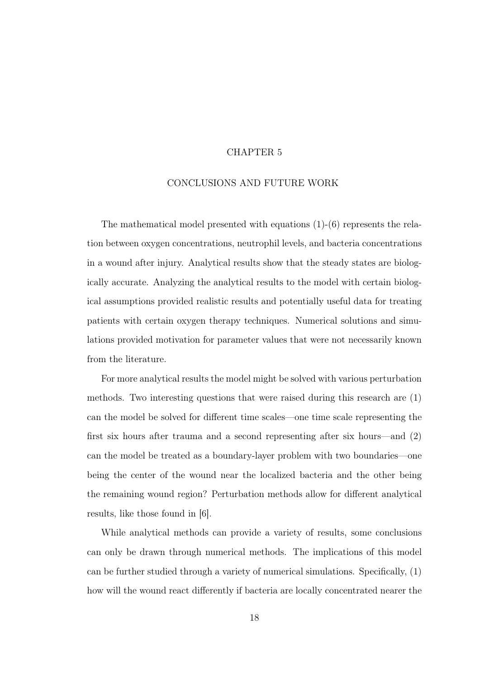#### CHAPTER 5

#### CONCLUSIONS AND FUTURE WORK

The mathematical model presented with equations (1)-(6) represents the relation between oxygen concentrations, neutrophil levels, and bacteria concentrations in a wound after injury. Analytical results show that the steady states are biologically accurate. Analyzing the analytical results to the model with certain biological assumptions provided realistic results and potentially useful data for treating patients with certain oxygen therapy techniques. Numerical solutions and simulations provided motivation for parameter values that were not necessarily known from the literature.

For more analytical results the model might be solved with various perturbation methods. Two interesting questions that were raised during this research are (1) can the model be solved for different time scales—one time scale representing the first six hours after trauma and a second representing after six hours—and (2) can the model be treated as a boundary-layer problem with two boundaries—one being the center of the wound near the localized bacteria and the other being the remaining wound region? Perturbation methods allow for different analytical results, like those found in [6].

While analytical methods can provide a variety of results, some conclusions can only be drawn through numerical methods. The implications of this model can be further studied through a variety of numerical simulations. Specifically, (1) how will the wound react differently if bacteria are locally concentrated nearer the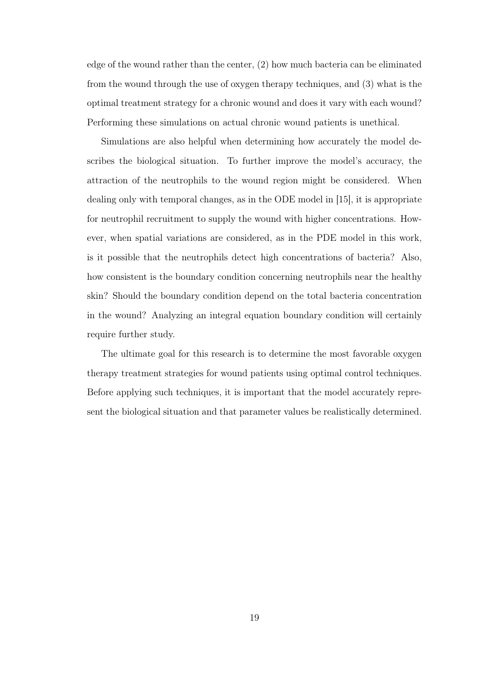edge of the wound rather than the center, (2) how much bacteria can be eliminated from the wound through the use of oxygen therapy techniques, and (3) what is the optimal treatment strategy for a chronic wound and does it vary with each wound? Performing these simulations on actual chronic wound patients is unethical.

Simulations are also helpful when determining how accurately the model describes the biological situation. To further improve the model's accuracy, the attraction of the neutrophils to the wound region might be considered. When dealing only with temporal changes, as in the ODE model in [15], it is appropriate for neutrophil recruitment to supply the wound with higher concentrations. However, when spatial variations are considered, as in the PDE model in this work, is it possible that the neutrophils detect high concentrations of bacteria? Also, how consistent is the boundary condition concerning neutrophils near the healthy skin? Should the boundary condition depend on the total bacteria concentration in the wound? Analyzing an integral equation boundary condition will certainly require further study.

The ultimate goal for this research is to determine the most favorable oxygen therapy treatment strategies for wound patients using optimal control techniques. Before applying such techniques, it is important that the model accurately represent the biological situation and that parameter values be realistically determined.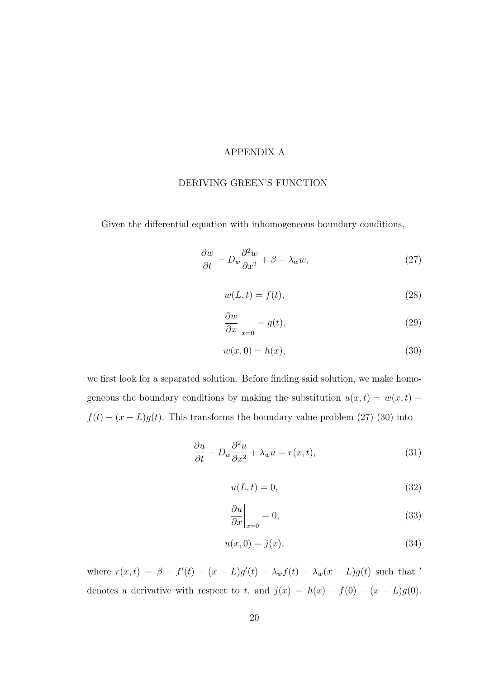#### APPENDIX A

#### DERIVING GREEN'S FUNCTION

Given the differential equation with inhomogeneous boundary conditions,

$$
\frac{\partial w}{\partial t} = D_w \frac{\partial^2 w}{\partial x^2} + \beta - \lambda_w w,\tag{27}
$$

$$
w(L, t) = f(t),\tag{28}
$$

$$
\left. \frac{\partial w}{\partial x} \right|_{x=0} = g(t),\tag{29}
$$

$$
w(x,0) = h(x),\tag{30}
$$

we first look for a separated solution. Before finding said solution, we make homogeneous the boundary conditions by making the substitution  $u(x,t) = w(x,t)$  –  $f(t) - (x - L)g(t)$ . This transforms the boundary value problem (27)-(30) into

$$
\frac{\partial u}{\partial t} - D_w \frac{\partial^2 u}{\partial x^2} + \lambda_w u = r(x, t),\tag{31}
$$

$$
u(L,t) = 0,\t\t(32)
$$

$$
\left. \frac{\partial u}{\partial x} \right|_{x=0} = 0,\tag{33}
$$

$$
u(x,0) = j(x),\tag{34}
$$

where  $r(x,t) = \beta - f'(t) - (x - L)g'(t) - \lambda_w f(t) - \lambda_w (x - L)g(t)$  such that denotes a derivative with respect to t, and  $j(x) = h(x) - f(0) - (x - L)g(0)$ .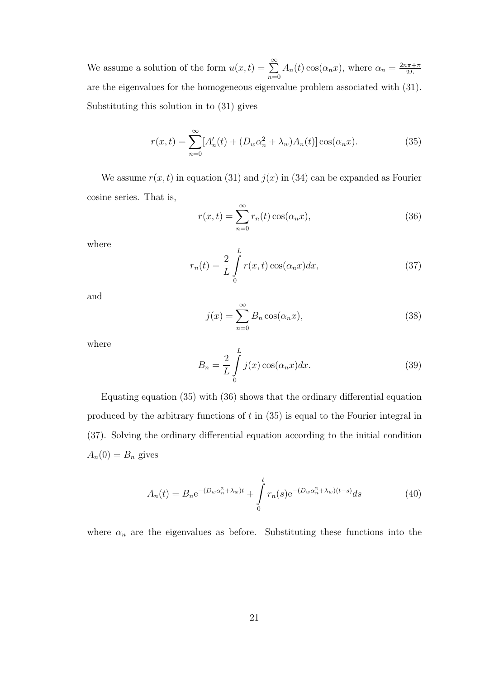We assume a solution of the form  $u(x,t) = \sum_{n=0}^{\infty}$  $n=0$  $A_n(t) \cos(\alpha_n x)$ , where  $\alpha_n = \frac{2n\pi + \pi}{2L}$  $2L$ are the eigenvalues for the homogeneous eigenvalue problem associated with (31). Substituting this solution in to (31) gives

$$
r(x,t) = \sum_{n=0}^{\infty} [A'_n(t) + (D_w \alpha_n^2 + \lambda_w) A_n(t)] \cos(\alpha_n x).
$$
 (35)

We assume  $r(x, t)$  in equation (31) and  $j(x)$  in (34) can be expanded as Fourier cosine series. That is,

$$
r(x,t) = \sum_{n=0}^{\infty} r_n(t) \cos(\alpha_n x),
$$
\n(36)

where

$$
r_n(t) = \frac{2}{L} \int_0^L r(x, t) \cos(\alpha_n x) dx,
$$
\n(37)

and

$$
j(x) = \sum_{n=0}^{\infty} B_n \cos(\alpha_n x),
$$
\n(38)

where

$$
B_n = \frac{2}{L} \int_0^L j(x) \cos(\alpha_n x) dx.
$$
 (39)

Equating equation (35) with (36) shows that the ordinary differential equation produced by the arbitrary functions of  $t$  in  $(35)$  is equal to the Fourier integral in (37). Solving the ordinary differential equation according to the initial condition  $A_n(0) = B_n$  gives

$$
A_n(t) = B_n e^{-(D_w \alpha_n^2 + \lambda_w)t} + \int_0^t r_n(s) e^{-(D_w \alpha_n^2 + \lambda_w)(t-s)} ds
$$
 (40)

where  $\alpha_n$  are the eigenvalues as before. Substituting these functions into the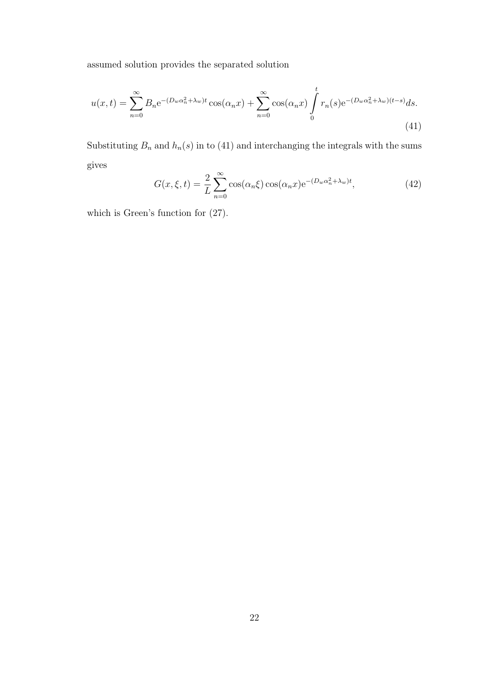assumed solution provides the separated solution

$$
u(x,t) = \sum_{n=0}^{\infty} B_n e^{-(D_w \alpha_n^2 + \lambda_w)t} \cos(\alpha_n x) + \sum_{n=0}^{\infty} \cos(\alpha_n x) \int_0^t r_n(s) e^{-(D_w \alpha_n^2 + \lambda_w)(t-s)} ds.
$$
\n(41)

Substituting  $B_n$  and  $h_n(s)$  in to (41) and interchanging the integrals with the sums gives

$$
G(x,\xi,t) = \frac{2}{L} \sum_{n=0}^{\infty} \cos(\alpha_n \xi) \cos(\alpha_n x) e^{-(D_w \alpha_n^2 + \lambda_w)t},
$$
\n(42)

which is Green's function for (27).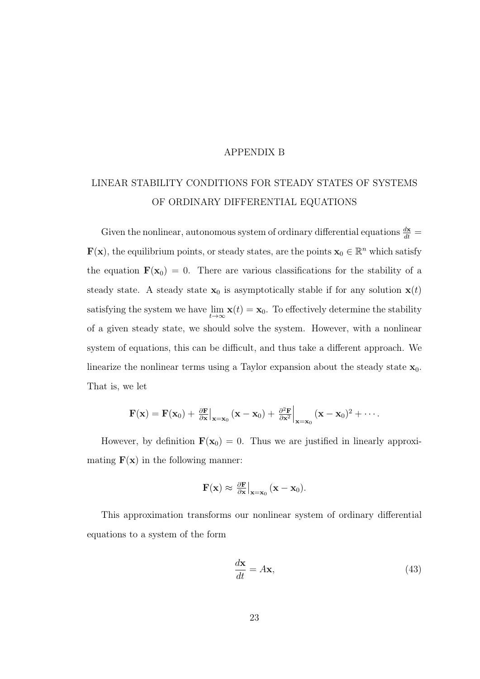#### APPENDIX B

## LINEAR STABILITY CONDITIONS FOR STEADY STATES OF SYSTEMS OF ORDINARY DIFFERENTIAL EQUATIONS

Given the nonlinear, autonomous system of ordinary differential equations  $\frac{dx}{dt} =$  $\mathbf{F}(\mathbf{x})$ , the equilibrium points, or steady states, are the points  $\mathbf{x}_0 \in \mathbb{R}^n$  which satisfy the equation  $\mathbf{F}(\mathbf{x}_0) = 0$ . There are various classifications for the stability of a steady state. A steady state  $x_0$  is asymptotically stable if for any solution  $x(t)$ satisfying the system we have  $\lim_{t\to\infty} \mathbf{x}(t) = \mathbf{x}_0$ . To effectively determine the stability of a given steady state, we should solve the system. However, with a nonlinear system of equations, this can be difficult, and thus take a different approach. We linearize the nonlinear terms using a Taylor expansion about the steady state  $\mathbf{x}_0$ . That is, we let

$$
\mathbf{F}(\mathbf{x}) = \mathbf{F}(\mathbf{x}_0) + \frac{\partial \mathbf{F}}{\partial \mathbf{x}}\big|_{\mathbf{x} = \mathbf{x}_0} (\mathbf{x} - \mathbf{x}_0) + \frac{\partial^2 \mathbf{F}}{\partial \mathbf{x}^2}\big|_{\mathbf{x} = \mathbf{x}_0} (\mathbf{x} - \mathbf{x}_0)^2 + \cdots
$$

However, by definition  $\mathbf{F}(\mathbf{x}_0) = 0$ . Thus we are justified in linearly approximating  $F(x)$  in the following manner:

$$
\mathbf{F}(\mathbf{x}) \approx \left. \frac{\partial \mathbf{F}}{\partial \mathbf{x}} \right|_{\mathbf{x} = \mathbf{x}_0} (\mathbf{x} - \mathbf{x}_0).
$$

This approximation transforms our nonlinear system of ordinary differential equations to a system of the form

$$
\frac{d\mathbf{x}}{dt} = A\mathbf{x},\tag{43}
$$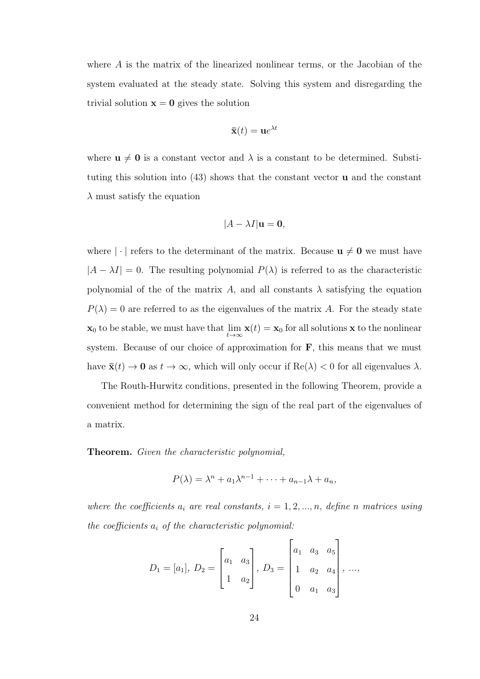where A is the matrix of the linearized nonlinear terms, or the Jacobian of the system evaluated at the steady state. Solving this system and disregarding the trivial solution  $x = 0$  gives the solution

$$
\mathbf{\bar{x}}(t) = \mathbf{u}e^{\lambda t}
$$

where  $u \neq 0$  is a constant vector and  $\lambda$  is a constant to be determined. Substituting this solution into  $(43)$  shows that the constant vector **u** and the constant  $\lambda$  must satisfy the equation

$$
|A - \lambda I| \mathbf{u} = \mathbf{0},
$$

where  $|\cdot|$  refers to the determinant of the matrix. Because  $u \neq 0$  we must have  $|A - \lambda I| = 0$ . The resulting polynomial  $P(\lambda)$  is referred to as the characteristic polynomial of the of the matrix A, and all constants  $\lambda$  satisfying the equation  $P(\lambda) = 0$  are referred to as the eigenvalues of the matrix A. For the steady state  $\mathbf{x}_0$  to be stable, we must have that  $\lim_{t\to\infty} \mathbf{x}(t) = \mathbf{x}_0$  for all solutions  $\mathbf{x}$  to the nonlinear system. Because of our choice of approximation for  $\bf{F}$ , this means that we must have  $\bar{\mathbf{x}}(t) \to \mathbf{0}$  as  $t \to \infty$ , which will only occur if  $\text{Re}(\lambda) < 0$  for all eigenvalues  $\lambda$ .

The Routh-Hurwitz conditions, presented in the following Theorem, provide a convenient method for determining the sign of the real part of the eigenvalues of a matrix.

Theorem. Given the characteristic polynomial,

$$
P(\lambda) = \lambda^n + a_1 \lambda^{n-1} + \dots + a_{n-1} \lambda + a_n,
$$

where the coefficients  $a_i$  are real constants,  $i = 1, 2, ..., n$ , define n matrices using the coefficients  $a_i$  of the characteristic polynomial:

$$
D_1 = [a_1], \ D_2 = \begin{bmatrix} a_1 & a_3 \\ 1 & a_2 \end{bmatrix}, \ D_3 = \begin{bmatrix} a_1 & a_3 & a_5 \\ 1 & a_2 & a_4 \\ 0 & a_1 & a_3 \end{bmatrix}, \ \ldots,
$$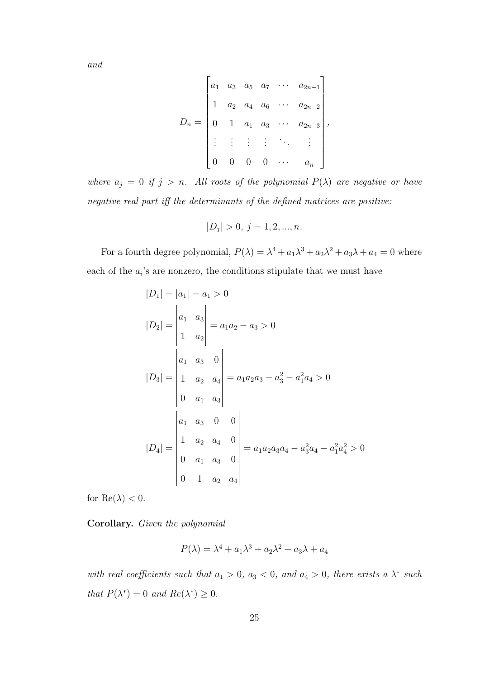and

$$
D_n = \begin{bmatrix} a_1 & a_3 & a_5 & a_7 & \cdots & a_{2n-1} \\ 1 & a_2 & a_4 & a_6 & \cdots & a_{2n-2} \\ 0 & 1 & a_1 & a_3 & \cdots & a_{2n-3} \\ \vdots & \vdots & \vdots & \vdots & \ddots & \vdots \\ 0 & 0 & 0 & 0 & \cdots & a_n \end{bmatrix},
$$

where  $a_j = 0$  if  $j > n$ . All roots of the polynomial  $P(\lambda)$  are negative or have negative real part iff the determinants of the defined matrices are positive:

$$
|D_j| > 0, j = 1, 2, ..., n.
$$

For a fourth degree polynomial,  $P(\lambda) = \lambda^4 + a_1 \lambda^3 + a_2 \lambda^2 + a_3 \lambda + a_4 = 0$  where each of the  $a_i$ 's are nonzero, the conditions stipulate that we must have

$$
|D_1| = |a_1| = a_1 > 0
$$
  
\n
$$
|D_2| = \begin{vmatrix} a_1 & a_3 \\ 1 & a_2 \end{vmatrix} = a_1a_2 - a_3 > 0
$$
  
\n
$$
|D_3| = \begin{vmatrix} a_1 & a_3 & 0 \\ 1 & a_2 & a_4 \\ 0 & a_1 & a_3 \end{vmatrix} = a_1a_2a_3 - a_3^2 - a_1^2a_4 > 0
$$
  
\n
$$
|D_4| = \begin{vmatrix} a_1 & a_3 & 0 & 0 \\ 1 & a_2 & a_4 & 0 \\ 0 & a_1 & a_3 & 0 \\ 0 & 1 & a_2 & a_4 \end{vmatrix} = a_1a_2a_3a_4 - a_3^2a_4 - a_1^2a_4^2 > 0
$$

for  $\text{Re}(\lambda) < 0$ .

Corollary. Given the polynomial

$$
P(\lambda) = \lambda^4 + a_1 \lambda^3 + a_2 \lambda^2 + a_3 \lambda + a_4
$$

with real coefficients such that  $a_1 > 0$ ,  $a_3 < 0$ , and  $a_4 > 0$ , there exists a  $\lambda^*$  such that  $P(\lambda^*) = 0$  and  $Re(\lambda^*) \geq 0$ .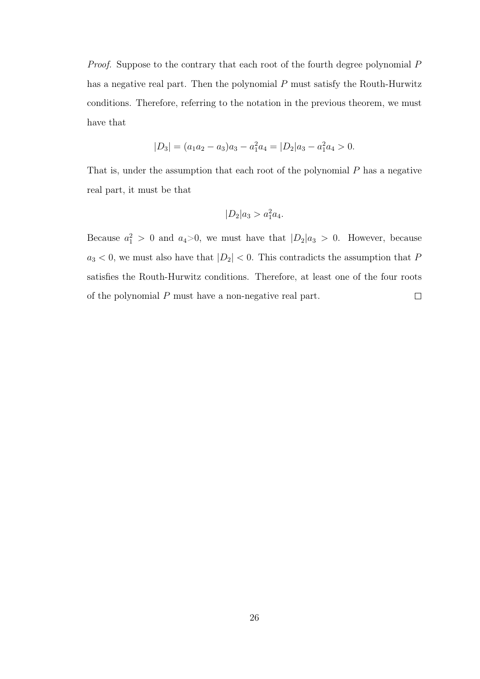Proof. Suppose to the contrary that each root of the fourth degree polynomial P has a negative real part. Then the polynomial P must satisfy the Routh-Hurwitz conditions. Therefore, referring to the notation in the previous theorem, we must have that

$$
|D_3| = (a_1a_2 - a_3)a_3 - a_1^2a_4 = |D_2|a_3 - a_1^2a_4 > 0.
$$

That is, under the assumption that each root of the polynomial  $P$  has a negative real part, it must be that

$$
|D_2|a_3 > a_1^2 a_4.
$$

Because  $a_1^2 > 0$  and  $a_4 > 0$ , we must have that  $|D_2|a_3 > 0$ . However, because  $a_3 < 0$ , we must also have that  $|D_2| < 0$ . This contradicts the assumption that P satisfies the Routh-Hurwitz conditions. Therefore, at least one of the four roots of the polynomial P must have a non-negative real part.  $\Box$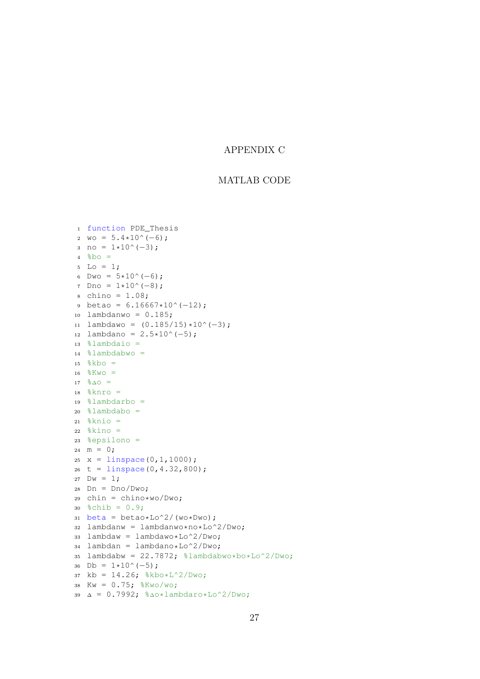#### APPENDIX C

#### MATLAB CODE

```
1 function PDE_Thesis
 2 wo = 5.4*10^(6);
3 \text{ no} = 1 \star 10^{\circ} (-3);
 4 \text{8bo} =5 Lo = 1;6 Dwo = 5*10^(-6);
7 Dno = 1*10^(-8);
 s chino = 1.08;
9 betao = 6.16667*10^(-12);
10 lambdanwo = 0.185;
11 lambdawo = (0.185/15)*10^(-3);
12 lambdano = 2.5*10^(-5);
13 %lambdaio =
14 %lambdabwo =
15 \, % kbo =
16 \, \frac{6}{6}Kwo =
17 \, \frac{9}{6}\Delta\bigcirc =18 %knro =
19 %lambdarbo =
20 %lambdabo =
21 %knio =
22 %kino =23 %epsilono =
24 m = 0;25 x = \text{linspace}(0,1,1000);26 t = linspace(0, 4.32, 800);
27 Dw = 1;28 Dn = Dno/Dwo;
29 chin = chino*wo/Dwo;
30 \text{ %chib} = 0.9;31 beta = betao*Lo^2/(wo*Dwo);
32 lambdanw = lambdanwo*no*Lo^2/Dwo;
33 lambdaw = lambdawo*Lo^2/Dwo:
34 lambdan = lambdano*Lo^2/Dwo;
35 lambdabw = 22.7872; %lambdabwo*bo*Lo^2/Dwo;
36 Db = 1*10^(-5);
37 kb = 14.26; % kbo * L^2/Dwo;38 Kw = 0.75; \frac{8}{8}Kwo/wo;
39 ∆ = 0.7992; %∆o*lambdaro*Lo^2/Dwo;
```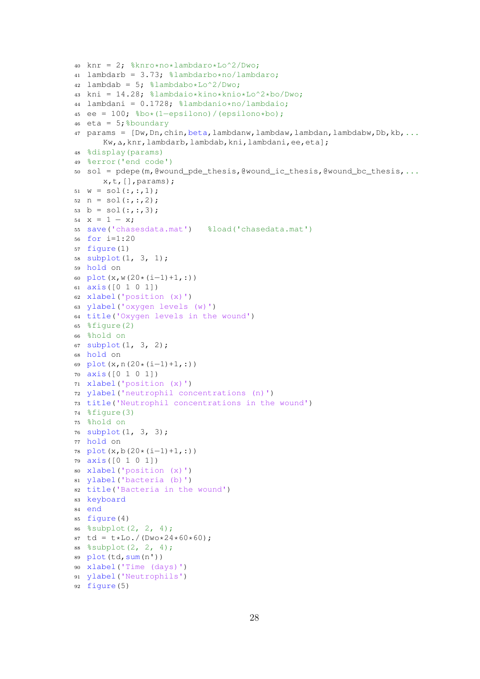```
40 knr = 2; %knro*no*lambdaro*Lo^2/Dwo;
41 lambdarb = 3.73; %lambdarbo*no/lambdaro;
42 lambdab = 5; %lambdabo*Lo^2/Dwo;
43 kni = 14.28; %lambdaio*kino*knio*Lo^2*bo/Dwo;
44 lambdani = 0.1728; %lambdanio*no/lambdaio;
45 ee = 100; %bo*(1−epsilono)/(epsilono*bo);
46 eta = 5; %boundary
47 params = [Dw,Dn,chin,beta,lambdanw,lambdaw,lambdan,lambdabw,Db,kb,...
      Kw,∆,knr,lambdarb,lambdab,kni,lambdani,ee,eta];
48 %display(params)
49 %error('end code')
50 sol = pdepe(m,@wound_pde_thesis,@wound_ic_thesis,@wound_bc_thesis,...
      x, t, [], params);
51 \text{ W} = \text{sol}(:,:,1);52 n = sol(:,:,2);53 b = sol(:, :, 3);
54 \times = 1 - x;55 save('chasesdata.mat') %load('chasedata.mat')
56 for i=1:20
57 figure(1)
58 subplot(1, 3, 1);
59 hold on
60 plot(x,w(20*(i−1)+1,:))
61 axis([0 1 0 1])
62 xlabel('position (x)')
63 ylabel('oxygen levels (w)')
64 title('Oxygen levels in the wound')
65 %figure(2)
66 %hold on
67 subplot(1, 3, 2);
68 hold on
69 plot(x,n(20*(i−1)+1,:))
70 axis([0 1 0 1])
71 xlabel('position (x)')
72 ylabel('neutrophil concentrations (n)')
73 title('Neutrophil concentrations in the wound')
74 %figure(3)
75 %hold on
76 subplot(1, 3, 3);
77 hold on
78 plot(x,b(20*(i−1)+1,:))
79 axis([0 1 0 1])
80 xlabel('position (x)')
81 ylabel('bacteria (b)')
82 title('Bacteria in the wound')
83 keyboard
84 end
85 figure(4)
86 %subplot(2, 2, 4);
87 td = t*Lo./(Dwo*24*60*60);
88 %subplot(2, 2, 4);
89 plot(td,sum(n'))
90 xlabel('Time (days)')
91 ylabel('Neutrophils')
92 figure(5)
```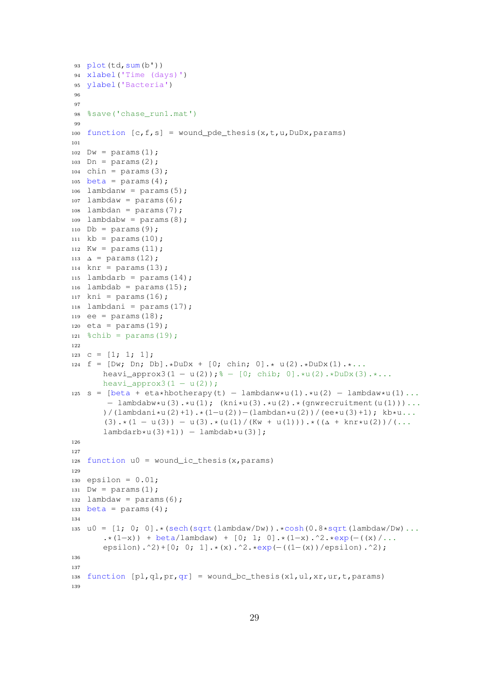```
93 plot(td,sum(b'))
94 xlabel('Time (days)')
95 ylabel('Bacteria')
96
97
98 %save('chase_run1.mat')
99
100 function [c, f, s] = wound_pde_thesis(x,t,u,DuDx,params)
101
102 Dw = p \arams(1);
103 Dn = params(2);
_{104} chin = params(3);
105 beta = params(4);
106 lambdanw = params(5);
107 lambdaw = params(6);
108 lambdan = params(7);
109 lambdabw = params(8);
110 Db = params(9);
111 kb = params(10);
112 Kw = params(11);
113 \Delta = params (12);
_{114} knr = params(13);
115 lambdarb = params(14);
116 lambdab = params(15);
117 kni = params(16);
118 lambdani = params(17);
119 ee = \text{params}(18);
120 eta = params(19);
121 %chib = params(19);
122
123 C = [1; 1; 1];124 f = [DW; Dh; Db] \cdot *DuDx + [0; chin; 0] \cdot * u(2) \cdot *DuDx(1) \cdot *...heavi_approx3(1 - u(2)); \frac{1}{6} - [0; chib; 0].*u(2).*DuDx(3).*...
       heavi_approx3(1 - u(2));
125 s = [beta + eta*hbotherapy(t) - lambdanw*u(1).*u(2) - lambdaw*u(1)...− lambdabw*u(3).*u(1); (kni*u(3).*u(2).*(gnwrecruitment(u(1)))...
       )/(lambdani*u(2)+1).*(1−u(2))−(lambdan*u(2))/(ee*u(3)+1); kb*u...
        (3) \cdot * (1 - u(3)) - u(3) \cdot * (u(1) / (Kw + u(1))) \cdot * ((\Delta + knr * u(2)) / (\ldotslambdarb*u(3)+1)) – lambdab*u(3)];
126
127
128 function u0 = wound_ic_thesis(x, params)
129
130 epsilon = 0.01;
131 Dw = p \text{arams}(1);
132 lambdaw = params(6);
133 beta = params(4);
134
135 u0 = [1; 0; 0] \cdot *(\text{sech}(\text{sqrt}(\text{lambda}V/W)) \cdot * \text{cosh}(0.8 * \text{sqrt}(\text{lambda}V/W)) \cdot ....*(1−x)) + beta/lambdaw) + [0; 1; 0].*(1−x).^2.*exp(-((x)/...
       epsilon).^2)+[0; 0; 1].*(x).^2.*exp(-((1-(x))/epsilon).^2);
136
137
138 function [p1,q1,pr,qr] = wound_bc_thesis(x1,ul,xr,ur,t,params)
139
```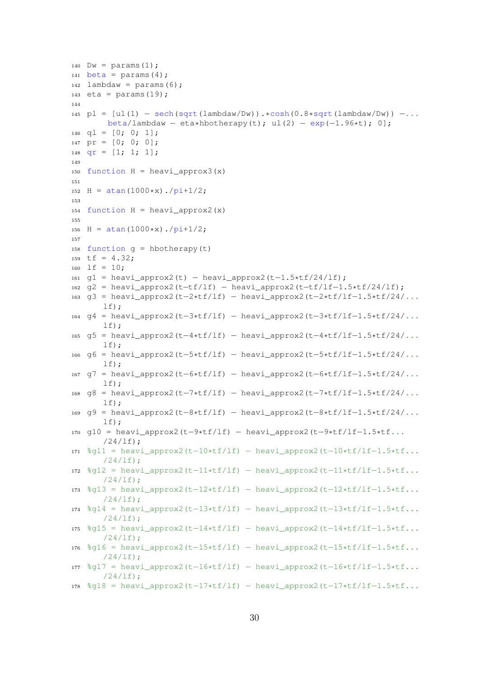```
140 Dw = \text{params}(1);
141 beta = params(4);
142 lambdaw = params(6);
143 eta = params(19);
144
145 pl = [ul(1) - sech(sqrt(lambda/Dw)) \cdot xcosh(0.8*sqrt(lambda/Dw)) - \dotsbeta/lambdaw – eta*hbotherapy(t); ul(2) – exp(-1.96*t); 0];
146 q1 = [0; 0; 1];147 pr = [0; 0; 0];
148 qr = [1; 1; 1];
149
150 function H = \text{heavy\_approx3(x)}151
152 H = \text{atan}(1000*x)./pi+1/2;
153
154 function H = \text{heavy} \_\text{approx2}(x)155
156 H = \text{atan}(1000*x)./\text{pi+1/2};
157
158 function q = hbotherapy(t)
159 tf = 4.32;160 lf = 10;
161 g1 = heavi_approx2(t) − heavi_approx2(t−1.5*tf/24/lf);
162 \text{ q2} = \text{heavy} \text{_{\text{approx2}}}(t-tf/lf) - \text{heavy} \text{_{\text{approx2}}}(t-tf/lf-1.5*tf/24/lf);163 g3 = heavi_approx2(t−2*tf/lf) − heavi_approx2(t−2*tf/lf−1.5*tf/24/...
       lf);
164 g4 = heavi_approx2(t−3*tf/lf) − heavi_approx2(t−3*tf/lf−1.5*tf/24/...
       lf);
165 g5 = heavi_approx2(t−4*tf/lf) − heavi_approx2(t−4*tf/lf−1.5*tf/24/...
       lf):
166 g6 = heavi_approx2(t−5*tf/lf) − heavi_approx2(t−5*tf/lf−1.5*tf/24/...
       1f):
167 g7 = heavi_approx2(t−6*tf/lf) − heavi_approx2(t−6*tf/lf−1.5*tf/24/...
       lf);
168 g8 = heavi_approx2(t−7*tf/lf) − heavi_approx2(t−7*tf/lf−1.5*tf/24/...
       lf);
169 g9 = heavi_approx2(t−8*tf/lf) − heavi_approx2(t−8*tf/lf−1.5*tf/24/...
       lf);
170 g10 = heavi_approx2(t−9*tf/lf) − heavi_approx2(t−9*tf/lf−1.5*tf...
       /24/lf);
171 %g11 = heavi_approx2(t−10*tf/lf) − heavi_approx2(t−10*tf/lf−1.5*tf...
       /24/lf;
172 %g12 = heavi_approx2(t−11*tf/lf) − heavi_approx2(t−11*tf/lf−1.5*tf...
       /24/lf);
173 %g13 = heavi_approx2(t-12*tf/lf) - heavi_approx2(t-12*tf/lf-1.5*tf...
       /24/lf;
174 \text{ } %914 = \text{heavy} \text{.}approx2(t-13*tf/lf) – heavi_approx2(t-13*tf/lf-1.5*tf...
       /24/lf);
175 %g15 = heavi_approx2(t−14*tf/lf) − heavi_approx2(t−14*tf/lf−1.5*tf...
       /24/1f;
176 %g16 = heavi approx2(t-15*tf/lf) − heavi approx2(t-15*tf/lf-1.5*tf...
       /24/lf);
177 %g17 = heavi_approx2(t−16*tf/lf) − heavi_approx2(t−16*tf/lf−1.5*tf...
       /24/1f;
178 %g18 = heavi_approx2(t-17*tf/lf) - heavi_approx2(t-17*tf/lf-1.5*tf...
```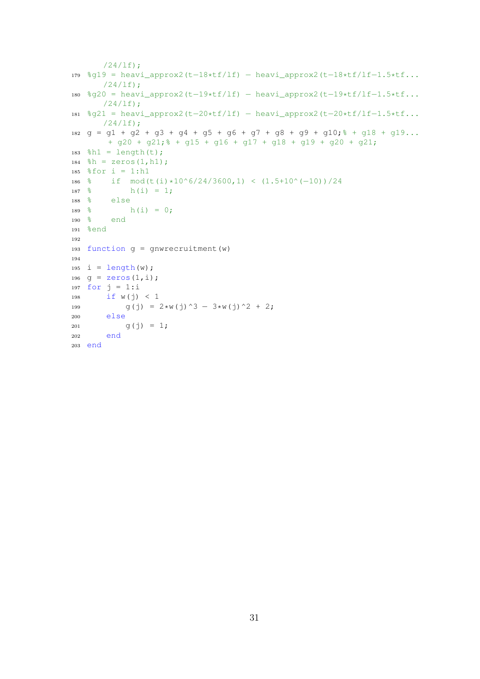```
/24/lf);
179 %g19 = heavi_approx2(t−18*tf/lf) − heavi_approx2(t−18*tf/lf−1.5*tf...
      /24/lf);
180 %g20 = heavi_approx2(t−19*tf/lf) − heavi_approx2(t−19*tf/lf−1.5*tf...
      /24/lf);
181 %g21 = heavi_approx2(t−20*tf/lf) − heavi_approx2(t−20*tf/lf−1.5*tf...
     /24/1f;
182 g = g1 + g2 + g3 + g4 + g5 + g6 + g7 + g8 + g9 + g10; % + g18 + g19...
      + g20 + g21; * + g15 + g16 + g17 + g18 + g19 + g20 + g21;
183 %h1 = length(t);
184 h = zeros(1, h1);185 %for i = 1:h1
186 % if mod(t(i)*10^6/24/3600,1) < (1.5+10^(-10))/24<br>187 % h(i) = 1;
           h(i) = 1;188 % else
189 % h(i) = 0;
190 % end
191 %end
192
193 function q = qnwrecruitment (w)
194
195 i = length (w);
196 g = zeros(1, i);197 for j = 1:i198 if w(j) < 1199 g(j) = 2*w(j)^3 - 3*w(j)^2 + 2;200 else
201 g(j) = 1;
202 end
203 end
```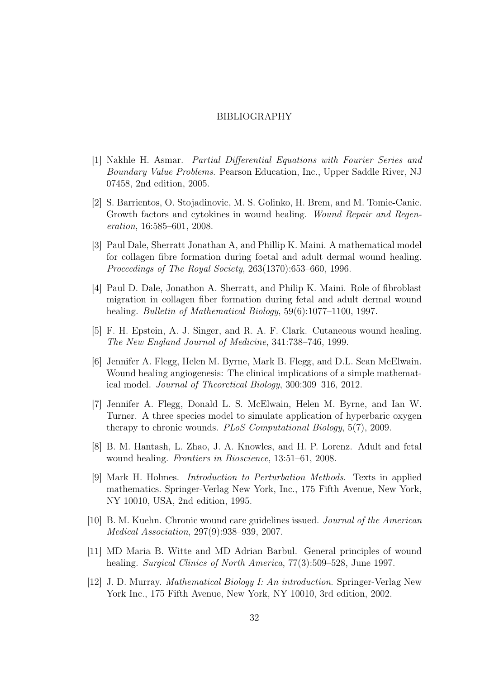#### BIBLIOGRAPHY

- [1] Nakhle H. Asmar. Partial Differential Equations with Fourier Series and Boundary Value Problems. Pearson Education, Inc., Upper Saddle River, NJ 07458, 2nd edition, 2005.
- [2] S. Barrientos, O. Stojadinovic, M. S. Golinko, H. Brem, and M. Tomic-Canic. Growth factors and cytokines in wound healing. Wound Repair and Regeneration, 16:585–601, 2008.
- [3] Paul Dale, Sherratt Jonathan A, and Phillip K. Maini. A mathematical model for collagen fibre formation during foetal and adult dermal wound healing. Proceedings of The Royal Society, 263(1370):653–660, 1996.
- [4] Paul D. Dale, Jonathon A. Sherratt, and Philip K. Maini. Role of fibroblast migration in collagen fiber formation during fetal and adult dermal wound healing. Bulletin of Mathematical Biology, 59(6):1077–1100, 1997.
- [5] F. H. Epstein, A. J. Singer, and R. A. F. Clark. Cutaneous wound healing. The New England Journal of Medicine, 341:738–746, 1999.
- [6] Jennifer A. Flegg, Helen M. Byrne, Mark B. Flegg, and D.L. Sean McElwain. Wound healing angiogenesis: The clinical implications of a simple mathematical model. Journal of Theoretical Biology, 300:309–316, 2012.
- [7] Jennifer A. Flegg, Donald L. S. McElwain, Helen M. Byrne, and Ian W. Turner. A three species model to simulate application of hyperbaric oxygen therapy to chronic wounds. PLoS Computational Biology, 5(7), 2009.
- [8] B. M. Hantash, L. Zhao, J. A. Knowles, and H. P. Lorenz. Adult and fetal wound healing. Frontiers in Bioscience, 13:51–61, 2008.
- [9] Mark H. Holmes. Introduction to Perturbation Methods. Texts in applied mathematics. Springer-Verlag New York, Inc., 175 Fifth Avenue, New York, NY 10010, USA, 2nd edition, 1995.
- [10] B. M. Kuehn. Chronic wound care guidelines issued. Journal of the American Medical Association, 297(9):938–939, 2007.
- [11] MD Maria B. Witte and MD Adrian Barbul. General principles of wound healing. Surgical Clinics of North America, 77(3):509–528, June 1997.
- [12] J. D. Murray. Mathematical Biology I: An introduction. Springer-Verlag New York Inc., 175 Fifth Avenue, New York, NY 10010, 3rd edition, 2002.